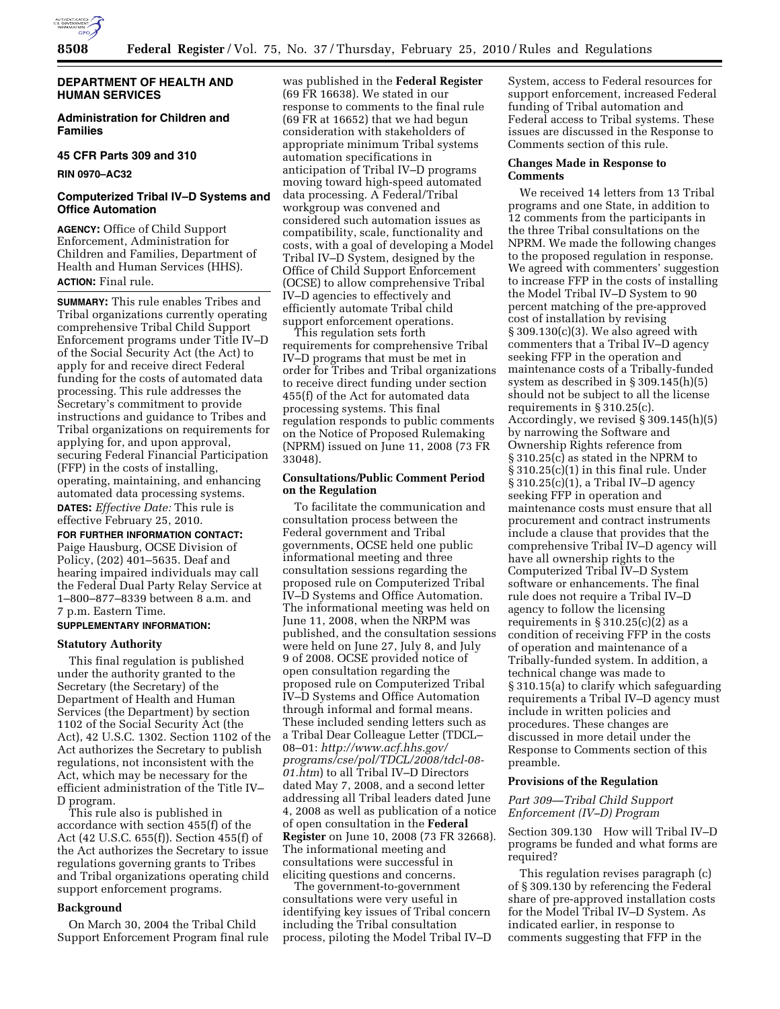

## **DEPARTMENT OF HEALTH AND HUMAN SERVICES**

**Administration for Children and Families** 

## **45 CFR Parts 309 and 310**

**RIN 0970–AC32** 

## **Computerized Tribal IV–D Systems and Office Automation**

**AGENCY:** Office of Child Support Enforcement, Administration for Children and Families, Department of Health and Human Services (HHS). **ACTION:** Final rule.

**SUMMARY:** This rule enables Tribes and Tribal organizations currently operating comprehensive Tribal Child Support Enforcement programs under Title IV–D of the Social Security Act (the Act) to apply for and receive direct Federal funding for the costs of automated data processing. This rule addresses the Secretary's commitment to provide instructions and guidance to Tribes and Tribal organizations on requirements for applying for, and upon approval, securing Federal Financial Participation (FFP) in the costs of installing, operating, maintaining, and enhancing automated data processing systems. **DATES:** *Effective Date:* This rule is effective February 25, 2010.

**FOR FURTHER INFORMATION CONTACT:**  Paige Hausburg, OCSE Division of Policy, (202) 401–5635. Deaf and hearing impaired individuals may call the Federal Dual Party Relay Service at 1–800–877–8339 between 8 a.m. and 7 p.m. Eastern Time.

## **SUPPLEMENTARY INFORMATION:**

#### **Statutory Authority**

This final regulation is published under the authority granted to the Secretary (the Secretary) of the Department of Health and Human Services (the Department) by section 1102 of the Social Security Act (the Act), 42 U.S.C. 1302. Section 1102 of the Act authorizes the Secretary to publish regulations, not inconsistent with the Act, which may be necessary for the efficient administration of the Title IV– D program.

This rule also is published in accordance with section 455(f) of the Act (42 U.S.C. 655(f)). Section 455(f) of the Act authorizes the Secretary to issue regulations governing grants to Tribes and Tribal organizations operating child support enforcement programs.

### **Background**

On March 30, 2004 the Tribal Child Support Enforcement Program final rule was published in the **Federal Register**  (69 FR 16638). We stated in our response to comments to the final rule (69 FR at 16652) that we had begun consideration with stakeholders of appropriate minimum Tribal systems automation specifications in anticipation of Tribal IV–D programs moving toward high-speed automated data processing. A Federal/Tribal workgroup was convened and considered such automation issues as compatibility, scale, functionality and costs, with a goal of developing a Model Tribal IV–D System, designed by the Office of Child Support Enforcement (OCSE) to allow comprehensive Tribal IV–D agencies to effectively and efficiently automate Tribal child support enforcement operations.

This regulation sets forth requirements for comprehensive Tribal IV–D programs that must be met in order for Tribes and Tribal organizations to receive direct funding under section 455(f) of the Act for automated data processing systems. This final regulation responds to public comments on the Notice of Proposed Rulemaking (NPRM) issued on June 11, 2008 (73 FR 33048).

## **Consultations/Public Comment Period on the Regulation**

To facilitate the communication and consultation process between the Federal government and Tribal governments, OCSE held one public informational meeting and three consultation sessions regarding the proposed rule on Computerized Tribal IV–D Systems and Office Automation. The informational meeting was held on June 11, 2008, when the NRPM was published, and the consultation sessions were held on June 27, July 8, and July 9 of 2008. OCSE provided notice of open consultation regarding the proposed rule on Computerized Tribal IV–D Systems and Office Automation through informal and formal means. These included sending letters such as a Tribal Dear Colleague Letter (TDCL– 08–01: *http://www.acf.hhs.gov/ programs/cse/pol/TDCL/2008/tdcl-08- 01.htm*) to all Tribal IV–D Directors dated May 7, 2008, and a second letter addressing all Tribal leaders dated June 4, 2008 as well as publication of a notice of open consultation in the **Federal Register** on June 10, 2008 (73 FR 32668). The informational meeting and consultations were successful in eliciting questions and concerns.

The government-to-government consultations were very useful in identifying key issues of Tribal concern including the Tribal consultation process, piloting the Model Tribal IV–D

System, access to Federal resources for support enforcement, increased Federal funding of Tribal automation and Federal access to Tribal systems. These issues are discussed in the Response to Comments section of this rule.

### **Changes Made in Response to Comments**

We received 14 letters from 13 Tribal programs and one State, in addition to 12 comments from the participants in the three Tribal consultations on the NPRM. We made the following changes to the proposed regulation in response. We agreed with commenters' suggestion to increase FFP in the costs of installing the Model Tribal IV–D System to 90 percent matching of the pre-approved cost of installation by revising § 309.130(c)(3). We also agreed with commenters that a Tribal IV–D agency seeking FFP in the operation and maintenance costs of a Tribally-funded system as described in § 309.145(h)(5) should not be subject to all the license requirements in § 310.25(c). Accordingly, we revised § 309.145(h)(5) by narrowing the Software and Ownership Rights reference from § 310.25(c) as stated in the NPRM to § 310.25(c)(1) in this final rule. Under § 310.25(c)(1), a Tribal IV–D agency seeking FFP in operation and maintenance costs must ensure that all procurement and contract instruments include a clause that provides that the comprehensive Tribal IV–D agency will have all ownership rights to the Computerized Tribal IV–D System software or enhancements. The final rule does not require a Tribal IV–D agency to follow the licensing requirements in  $\S 310.25(c)(2)$  as a condition of receiving FFP in the costs of operation and maintenance of a Tribally-funded system. In addition, a technical change was made to § 310.15(a) to clarify which safeguarding requirements a Tribal IV–D agency must include in written policies and procedures. These changes are discussed in more detail under the Response to Comments section of this preamble.

#### **Provisions of the Regulation**

## *Part 309—Tribal Child Support Enforcement (IV–D) Program*

Section 309.130 How will Tribal IV–D programs be funded and what forms are required?

This regulation revises paragraph (c) of § 309.130 by referencing the Federal share of pre-approved installation costs for the Model Tribal IV–D System. As indicated earlier, in response to comments suggesting that FFP in the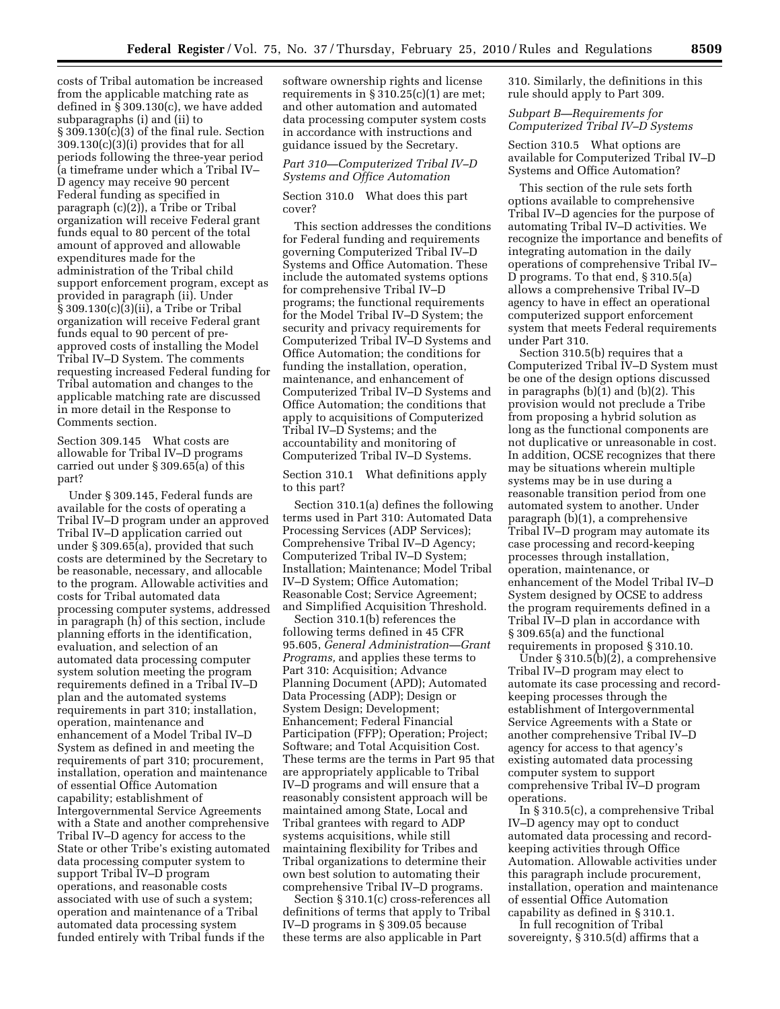costs of Tribal automation be increased from the applicable matching rate as defined in § 309.130(c), we have added subparagraphs (i) and (ii) to  $\S 309.130(c)(3)$  of the final rule. Section 309.130(c)(3)(i) provides that for all periods following the three-year period (a timeframe under which a Tribal IV– D agency may receive 90 percent Federal funding as specified in paragraph (c)(2)), a Tribe or Tribal organization will receive Federal grant funds equal to 80 percent of the total amount of approved and allowable expenditures made for the administration of the Tribal child support enforcement program, except as provided in paragraph (ii). Under § 309.130(c)(3)(ii), a Tribe or Tribal organization will receive Federal grant funds equal to 90 percent of preapproved costs of installing the Model Tribal IV–D System. The comments requesting increased Federal funding for Tribal automation and changes to the applicable matching rate are discussed in more detail in the Response to Comments section.

Section 309.145 What costs are allowable for Tribal IV–D programs carried out under § 309.65(a) of this part?

Under § 309.145, Federal funds are available for the costs of operating a Tribal IV–D program under an approved Tribal IV–D application carried out under § 309.65(a), provided that such costs are determined by the Secretary to be reasonable, necessary, and allocable to the program. Allowable activities and costs for Tribal automated data processing computer systems, addressed in paragraph (h) of this section, include planning efforts in the identification, evaluation, and selection of an automated data processing computer system solution meeting the program requirements defined in a Tribal IV–D plan and the automated systems requirements in part 310; installation, operation, maintenance and enhancement of a Model Tribal IV–D System as defined in and meeting the requirements of part 310; procurement, installation, operation and maintenance of essential Office Automation capability; establishment of Intergovernmental Service Agreements with a State and another comprehensive Tribal IV–D agency for access to the State or other Tribe's existing automated data processing computer system to support Tribal IV–D program operations, and reasonable costs associated with use of such a system; operation and maintenance of a Tribal automated data processing system funded entirely with Tribal funds if the

software ownership rights and license requirements in  $\S 310.25(c)(1)$  are met; and other automation and automated data processing computer system costs in accordance with instructions and guidance issued by the Secretary.

## *Part 310—Computerized Tribal IV–D Systems and Office Automation*

Section 310.0 What does this part cover?

This section addresses the conditions for Federal funding and requirements governing Computerized Tribal IV–D Systems and Office Automation. These include the automated systems options for comprehensive Tribal IV–D programs; the functional requirements for the Model Tribal IV–D System; the security and privacy requirements for Computerized Tribal IV–D Systems and Office Automation; the conditions for funding the installation, operation, maintenance, and enhancement of Computerized Tribal IV–D Systems and Office Automation; the conditions that apply to acquisitions of Computerized Tribal IV–D Systems; and the accountability and monitoring of Computerized Tribal IV–D Systems.

Section 310.1 What definitions apply to this part?

Section 310.1(a) defines the following terms used in Part 310: Automated Data Processing Services (ADP Services); Comprehensive Tribal IV–D Agency; Computerized Tribal IV–D System; Installation; Maintenance; Model Tribal IV–D System; Office Automation; Reasonable Cost; Service Agreement; and Simplified Acquisition Threshold.

Section 310.1(b) references the following terms defined in 45 CFR 95.605, *General Administration—Grant Programs,* and applies these terms to Part 310: Acquisition; Advance Planning Document (APD); Automated Data Processing (ADP); Design or System Design; Development; Enhancement; Federal Financial Participation (FFP); Operation; Project; Software; and Total Acquisition Cost. These terms are the terms in Part 95 that are appropriately applicable to Tribal IV–D programs and will ensure that a reasonably consistent approach will be maintained among State, Local and Tribal grantees with regard to ADP systems acquisitions, while still maintaining flexibility for Tribes and Tribal organizations to determine their own best solution to automating their comprehensive Tribal IV–D programs.

Section § 310.1(c) cross-references all definitions of terms that apply to Tribal IV–D programs in § 309.05 because these terms are also applicable in Part

310. Similarly, the definitions in this rule should apply to Part 309.

### *Subpart B—Requirements for Computerized Tribal IV–D Systems*

Section 310.5 What options are available for Computerized Tribal IV–D Systems and Office Automation?

This section of the rule sets forth options available to comprehensive Tribal IV–D agencies for the purpose of automating Tribal IV–D activities. We recognize the importance and benefits of integrating automation in the daily operations of comprehensive Tribal IV– D programs. To that end, § 310.5(a) allows a comprehensive Tribal IV–D agency to have in effect an operational computerized support enforcement system that meets Federal requirements under Part 310.

Section 310.5(b) requires that a Computerized Tribal IV–D System must be one of the design options discussed in paragraphs (b)(1) and (b)(2). This provision would not preclude a Tribe from proposing a hybrid solution as long as the functional components are not duplicative or unreasonable in cost. In addition, OCSE recognizes that there may be situations wherein multiple systems may be in use during a reasonable transition period from one automated system to another. Under paragraph (b)(1), a comprehensive Tribal IV–D program may automate its case processing and record-keeping processes through installation, operation, maintenance, or enhancement of the Model Tribal IV–D System designed by OCSE to address the program requirements defined in a Tribal IV–D plan in accordance with § 309.65(a) and the functional requirements in proposed § 310.10.

Under § 310.5 $(b)(\overline{2})$ , a comprehensive Tribal IV–D program may elect to automate its case processing and recordkeeping processes through the establishment of Intergovernmental Service Agreements with a State or another comprehensive Tribal IV–D agency for access to that agency's existing automated data processing computer system to support comprehensive Tribal IV–D program operations.

In § 310.5(c), a comprehensive Tribal IV–D agency may opt to conduct automated data processing and recordkeeping activities through Office Automation. Allowable activities under this paragraph include procurement, installation, operation and maintenance of essential Office Automation capability as defined in § 310.1.

In full recognition of Tribal sovereignty, § 310.5(d) affirms that a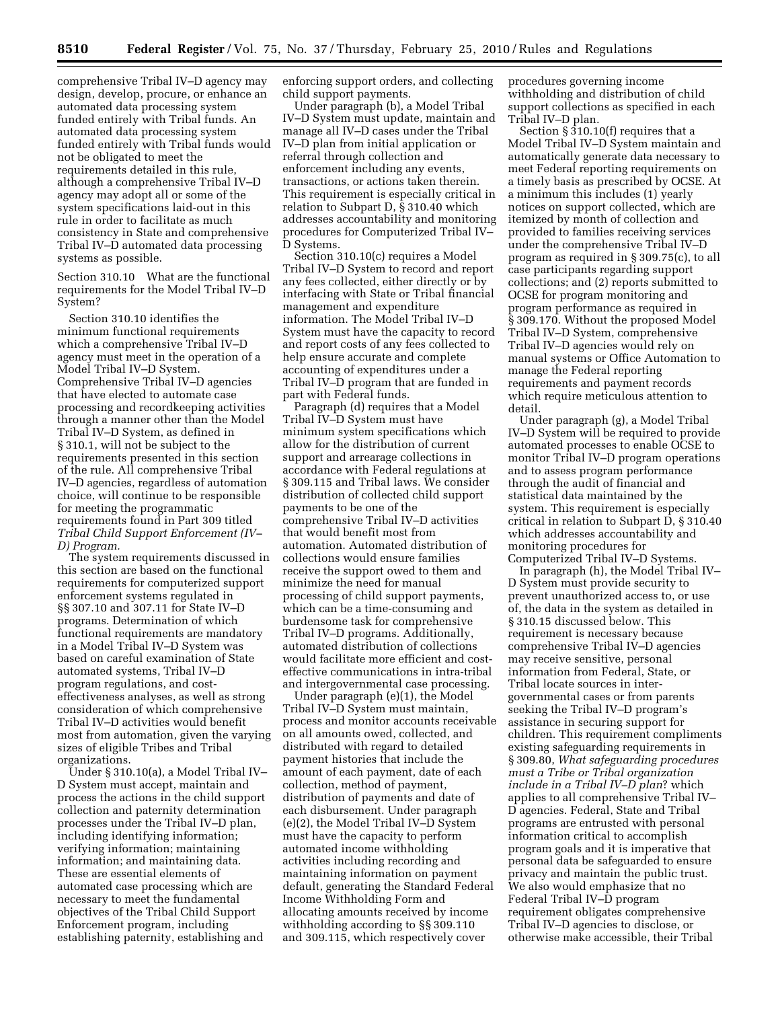comprehensive Tribal IV–D agency may design, develop, procure, or enhance an automated data processing system funded entirely with Tribal funds. An automated data processing system funded entirely with Tribal funds would not be obligated to meet the requirements detailed in this rule, although a comprehensive Tribal IV–D agency may adopt all or some of the system specifications laid-out in this rule in order to facilitate as much consistency in State and comprehensive Tribal IV–D automated data processing systems as possible.

Section 310.10 What are the functional requirements for the Model Tribal IV–D System?

Section 310.10 identifies the minimum functional requirements which a comprehensive Tribal IV–D agency must meet in the operation of a Model Tribal IV–D System. Comprehensive Tribal IV–D agencies that have elected to automate case processing and recordkeeping activities through a manner other than the Model Tribal IV–D System, as defined in § 310.1, will not be subject to the requirements presented in this section of the rule. All comprehensive Tribal IV–D agencies, regardless of automation choice, will continue to be responsible for meeting the programmatic requirements found in Part 309 titled *Tribal Child Support Enforcement (IV– D) Program.* 

The system requirements discussed in this section are based on the functional requirements for computerized support enforcement systems regulated in §§ 307.10 and 307.11 for State IV–D programs. Determination of which functional requirements are mandatory in a Model Tribal IV–D System was based on careful examination of State automated systems, Tribal IV–D program regulations, and costeffectiveness analyses, as well as strong consideration of which comprehensive Tribal IV–D activities would benefit most from automation, given the varying sizes of eligible Tribes and Tribal organizations.

Under § 310.10(a), a Model Tribal IV– D System must accept, maintain and process the actions in the child support collection and paternity determination processes under the Tribal IV–D plan, including identifying information; verifying information; maintaining information; and maintaining data. These are essential elements of automated case processing which are necessary to meet the fundamental objectives of the Tribal Child Support Enforcement program, including establishing paternity, establishing and

enforcing support orders, and collecting child support payments.

Under paragraph (b), a Model Tribal IV–D System must update, maintain and manage all IV–D cases under the Tribal IV–D plan from initial application or referral through collection and enforcement including any events, transactions, or actions taken therein. This requirement is especially critical in relation to Subpart D, § 310.40 which addresses accountability and monitoring procedures for Computerized Tribal IV– D Systems.

Section 310.10(c) requires a Model Tribal IV–D System to record and report any fees collected, either directly or by interfacing with State or Tribal financial management and expenditure information. The Model Tribal IV–D System must have the capacity to record and report costs of any fees collected to help ensure accurate and complete accounting of expenditures under a Tribal IV–D program that are funded in part with Federal funds.

Paragraph (d) requires that a Model Tribal IV–D System must have minimum system specifications which allow for the distribution of current support and arrearage collections in accordance with Federal regulations at § 309.115 and Tribal laws. We consider distribution of collected child support payments to be one of the comprehensive Tribal IV–D activities that would benefit most from automation. Automated distribution of collections would ensure families receive the support owed to them and minimize the need for manual processing of child support payments, which can be a time-consuming and burdensome task for comprehensive Tribal IV–D programs. Additionally, automated distribution of collections would facilitate more efficient and costeffective communications in intra-tribal and intergovernmental case processing.

Under paragraph (e)(1), the Model Tribal IV–D System must maintain, process and monitor accounts receivable on all amounts owed, collected, and distributed with regard to detailed payment histories that include the amount of each payment, date of each collection, method of payment, distribution of payments and date of each disbursement. Under paragraph (e)(2), the Model Tribal IV–D System must have the capacity to perform automated income withholding activities including recording and maintaining information on payment default, generating the Standard Federal Income Withholding Form and allocating amounts received by income withholding according to §§ 309.110 and 309.115, which respectively cover

procedures governing income withholding and distribution of child support collections as specified in each Tribal IV–D plan.

Section § 310.10(f) requires that a Model Tribal IV–D System maintain and automatically generate data necessary to meet Federal reporting requirements on a timely basis as prescribed by OCSE. At a minimum this includes (1) yearly notices on support collected, which are itemized by month of collection and provided to families receiving services under the comprehensive Tribal IV–D program as required in § 309.75(c), to all case participants regarding support collections; and (2) reports submitted to OCSE for program monitoring and program performance as required in § 309.170. Without the proposed Model Tribal IV–D System, comprehensive Tribal IV–D agencies would rely on manual systems or Office Automation to manage the Federal reporting requirements and payment records which require meticulous attention to detail.

Under paragraph (g), a Model Tribal IV–D System will be required to provide automated processes to enable OCSE to monitor Tribal IV–D program operations and to assess program performance through the audit of financial and statistical data maintained by the system. This requirement is especially critical in relation to Subpart D, § 310.40 which addresses accountability and monitoring procedures for Computerized Tribal IV–D Systems.

In paragraph (h), the Model Tribal IV– D System must provide security to prevent unauthorized access to, or use of, the data in the system as detailed in § 310.15 discussed below. This requirement is necessary because comprehensive Tribal IV–D agencies may receive sensitive, personal information from Federal, State, or Tribal locate sources in intergovernmental cases or from parents seeking the Tribal IV–D program's assistance in securing support for children. This requirement compliments existing safeguarding requirements in § 309.80, *What safeguarding procedures must a Tribe or Tribal organization include in a Tribal IV–D plan*? which applies to all comprehensive Tribal IV– D agencies. Federal, State and Tribal programs are entrusted with personal information critical to accomplish program goals and it is imperative that personal data be safeguarded to ensure privacy and maintain the public trust. We also would emphasize that no Federal Tribal IV–D program requirement obligates comprehensive Tribal IV–D agencies to disclose, or otherwise make accessible, their Tribal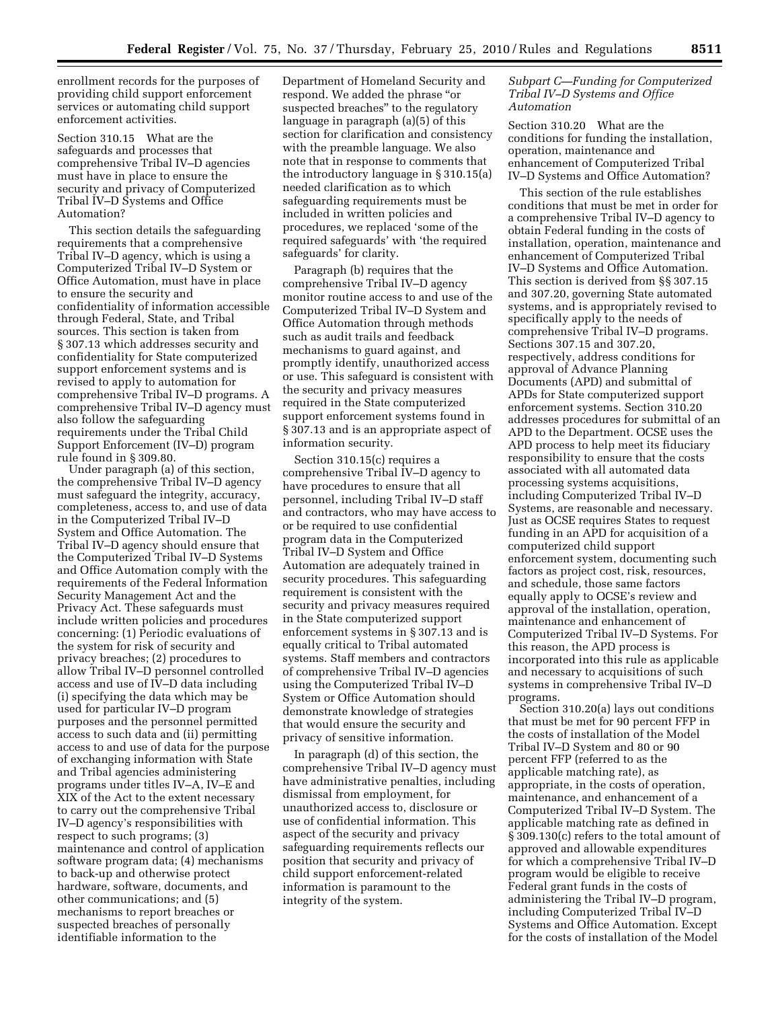enrollment records for the purposes of providing child support enforcement services or automating child support enforcement activities.

Section 310.15 What are the safeguards and processes that comprehensive Tribal IV–D agencies must have in place to ensure the security and privacy of Computerized Tribal IV–D Systems and Office Automation?

This section details the safeguarding requirements that a comprehensive Tribal IV–D agency, which is using a Computerized Tribal IV–D System or Office Automation, must have in place to ensure the security and confidentiality of information accessible through Federal, State, and Tribal sources. This section is taken from § 307.13 which addresses security and confidentiality for State computerized support enforcement systems and is revised to apply to automation for comprehensive Tribal IV–D programs. A comprehensive Tribal IV–D agency must also follow the safeguarding requirements under the Tribal Child Support Enforcement (IV–D) program rule found in § 309.80.

Under paragraph (a) of this section, the comprehensive Tribal IV–D agency must safeguard the integrity, accuracy, completeness, access to, and use of data in the Computerized Tribal IV–D System and Office Automation. The Tribal IV–D agency should ensure that the Computerized Tribal IV–D Systems and Office Automation comply with the requirements of the Federal Information Security Management Act and the Privacy Act. These safeguards must include written policies and procedures concerning: (1) Periodic evaluations of the system for risk of security and privacy breaches; (2) procedures to allow Tribal IV–D personnel controlled access and use of IV–D data including (i) specifying the data which may be used for particular IV–D program purposes and the personnel permitted access to such data and (ii) permitting access to and use of data for the purpose of exchanging information with State and Tribal agencies administering programs under titles IV–A, IV–E and XIX of the Act to the extent necessary to carry out the comprehensive Tribal IV–D agency's responsibilities with respect to such programs; (3) maintenance and control of application software program data; (4) mechanisms to back-up and otherwise protect hardware, software, documents, and other communications; and (5) mechanisms to report breaches or suspected breaches of personally identifiable information to the

Department of Homeland Security and respond. We added the phrase ''or suspected breaches'' to the regulatory language in paragraph (a)(5) of this section for clarification and consistency with the preamble language. We also note that in response to comments that the introductory language in § 310.15(a) needed clarification as to which safeguarding requirements must be included in written policies and procedures, we replaced 'some of the required safeguards' with 'the required safeguards' for clarity.

Paragraph (b) requires that the comprehensive Tribal IV–D agency monitor routine access to and use of the Computerized Tribal IV–D System and Office Automation through methods such as audit trails and feedback mechanisms to guard against, and promptly identify, unauthorized access or use. This safeguard is consistent with the security and privacy measures required in the State computerized support enforcement systems found in § 307.13 and is an appropriate aspect of information security.

Section 310.15(c) requires a comprehensive Tribal IV–D agency to have procedures to ensure that all personnel, including Tribal IV–D staff and contractors, who may have access to or be required to use confidential program data in the Computerized Tribal IV–D System and Office Automation are adequately trained in security procedures. This safeguarding requirement is consistent with the security and privacy measures required in the State computerized support enforcement systems in § 307.13 and is equally critical to Tribal automated systems. Staff members and contractors of comprehensive Tribal IV–D agencies using the Computerized Tribal IV–D System or Office Automation should demonstrate knowledge of strategies that would ensure the security and privacy of sensitive information.

In paragraph (d) of this section, the comprehensive Tribal IV–D agency must have administrative penalties, including dismissal from employment, for unauthorized access to, disclosure or use of confidential information. This aspect of the security and privacy safeguarding requirements reflects our position that security and privacy of child support enforcement-related information is paramount to the integrity of the system.

### *Subpart C—Funding for Computerized Tribal IV–D Systems and Office Automation*

Section 310.20 What are the conditions for funding the installation, operation, maintenance and enhancement of Computerized Tribal IV–D Systems and Office Automation?

This section of the rule establishes conditions that must be met in order for a comprehensive Tribal IV–D agency to obtain Federal funding in the costs of installation, operation, maintenance and enhancement of Computerized Tribal IV–D Systems and Office Automation. This section is derived from §§ 307.15 and 307.20, governing State automated systems, and is appropriately revised to specifically apply to the needs of comprehensive Tribal IV–D programs. Sections 307.15 and 307.20, respectively, address conditions for approval of Advance Planning Documents (APD) and submittal of APDs for State computerized support enforcement systems. Section 310.20 addresses procedures for submittal of an APD to the Department. OCSE uses the APD process to help meet its fiduciary responsibility to ensure that the costs associated with all automated data processing systems acquisitions, including Computerized Tribal IV–D Systems, are reasonable and necessary. Just as OCSE requires States to request funding in an APD for acquisition of a computerized child support enforcement system, documenting such factors as project cost, risk, resources, and schedule, those same factors equally apply to OCSE's review and approval of the installation, operation, maintenance and enhancement of Computerized Tribal IV–D Systems. For this reason, the APD process is incorporated into this rule as applicable and necessary to acquisitions of such systems in comprehensive Tribal IV–D programs.

Section 310.20(a) lays out conditions that must be met for 90 percent FFP in the costs of installation of the Model Tribal IV–D System and 80 or 90 percent FFP (referred to as the applicable matching rate), as appropriate, in the costs of operation, maintenance, and enhancement of a Computerized Tribal IV–D System. The applicable matching rate as defined in § 309.130(c) refers to the total amount of approved and allowable expenditures for which a comprehensive Tribal IV–D program would be eligible to receive Federal grant funds in the costs of administering the Tribal IV–D program, including Computerized Tribal IV–D Systems and Office Automation. Except for the costs of installation of the Model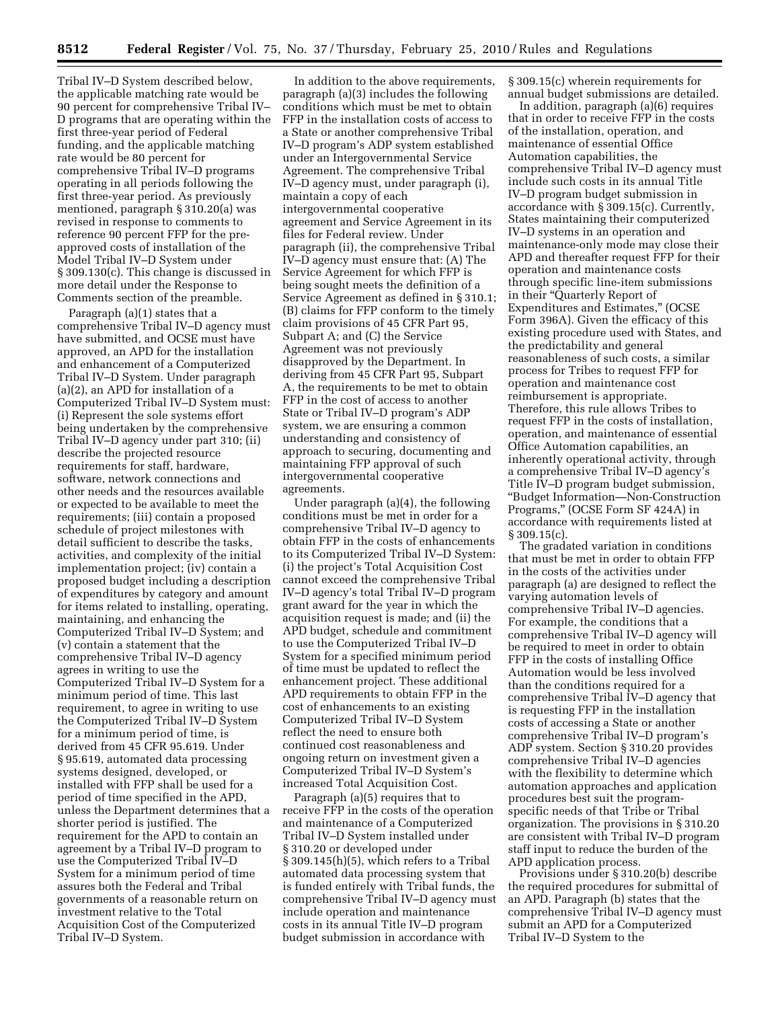Tribal IV–D System described below, the applicable matching rate would be 90 percent for comprehensive Tribal IV– D programs that are operating within the first three-year period of Federal funding, and the applicable matching rate would be 80 percent for comprehensive Tribal IV–D programs operating in all periods following the first three-year period. As previously mentioned, paragraph § 310.20(a) was revised in response to comments to reference 90 percent FFP for the preapproved costs of installation of the Model Tribal IV–D System under § 309.130(c). This change is discussed in more detail under the Response to Comments section of the preamble.

Paragraph (a)(1) states that a comprehensive Tribal IV–D agency must have submitted, and OCSE must have approved, an APD for the installation and enhancement of a Computerized Tribal IV–D System. Under paragraph (a)(2), an APD for installation of a Computerized Tribal IV–D System must: (i) Represent the sole systems effort being undertaken by the comprehensive Tribal IV–D agency under part 310; (ii) describe the projected resource requirements for staff, hardware, software, network connections and other needs and the resources available or expected to be available to meet the requirements; (iii) contain a proposed schedule of project milestones with detail sufficient to describe the tasks, activities, and complexity of the initial implementation project; (iv) contain a proposed budget including a description of expenditures by category and amount for items related to installing, operating, maintaining, and enhancing the Computerized Tribal IV–D System; and (v) contain a statement that the comprehensive Tribal IV–D agency agrees in writing to use the Computerized Tribal IV–D System for a minimum period of time. This last requirement, to agree in writing to use the Computerized Tribal IV–D System for a minimum period of time, is derived from 45 CFR 95.619. Under § 95.619, automated data processing systems designed, developed, or installed with FFP shall be used for a period of time specified in the APD, unless the Department determines that a shorter period is justified. The requirement for the APD to contain an agreement by a Tribal IV–D program to use the Computerized Tribal IV–D System for a minimum period of time assures both the Federal and Tribal governments of a reasonable return on investment relative to the Total Acquisition Cost of the Computerized Tribal IV–D System.

In addition to the above requirements, paragraph (a)(3) includes the following conditions which must be met to obtain FFP in the installation costs of access to a State or another comprehensive Tribal IV–D program's ADP system established under an Intergovernmental Service Agreement. The comprehensive Tribal IV–D agency must, under paragraph (i), maintain a copy of each intergovernmental cooperative agreement and Service Agreement in its files for Federal review. Under paragraph (ii), the comprehensive Tribal IV–D agency must ensure that: (A) The Service Agreement for which FFP is being sought meets the definition of a Service Agreement as defined in § 310.1; (B) claims for FFP conform to the timely claim provisions of 45 CFR Part 95, Subpart A; and (C) the Service Agreement was not previously disapproved by the Department. In deriving from 45 CFR Part 95, Subpart A, the requirements to be met to obtain FFP in the cost of access to another State or Tribal IV–D program's ADP system, we are ensuring a common understanding and consistency of approach to securing, documenting and maintaining FFP approval of such intergovernmental cooperative agreements.

Under paragraph (a)(4), the following conditions must be met in order for a comprehensive Tribal IV–D agency to obtain FFP in the costs of enhancements to its Computerized Tribal IV–D System: (i) the project's Total Acquisition Cost cannot exceed the comprehensive Tribal IV–D agency's total Tribal IV–D program grant award for the year in which the acquisition request is made; and (ii) the APD budget, schedule and commitment to use the Computerized Tribal IV–D System for a specified minimum period of time must be updated to reflect the enhancement project. These additional APD requirements to obtain FFP in the cost of enhancements to an existing Computerized Tribal IV–D System reflect the need to ensure both continued cost reasonableness and ongoing return on investment given a Computerized Tribal IV–D System's increased Total Acquisition Cost.

Paragraph (a)(5) requires that to receive FFP in the costs of the operation and maintenance of a Computerized Tribal IV–D System installed under § 310.20 or developed under § 309.145(h)(5), which refers to a Tribal automated data processing system that is funded entirely with Tribal funds, the comprehensive Tribal IV–D agency must include operation and maintenance costs in its annual Title IV–D program budget submission in accordance with

§ 309.15(c) wherein requirements for annual budget submissions are detailed.

In addition, paragraph (a)(6) requires that in order to receive FFP in the costs of the installation, operation, and maintenance of essential Office Automation capabilities, the comprehensive Tribal IV–D agency must include such costs in its annual Title IV–D program budget submission in accordance with § 309.15(c). Currently, States maintaining their computerized IV–D systems in an operation and maintenance-only mode may close their APD and thereafter request FFP for their operation and maintenance costs through specific line-item submissions in their "Quarterly Report of Expenditures and Estimates,'' (OCSE Form 396A). Given the efficacy of this existing procedure used with States, and the predictability and general reasonableness of such costs, a similar process for Tribes to request FFP for operation and maintenance cost reimbursement is appropriate. Therefore, this rule allows Tribes to request FFP in the costs of installation, operation, and maintenance of essential Office Automation capabilities, an inherently operational activity, through a comprehensive Tribal IV–D agency's Title IV–D program budget submission, ''Budget Information—Non-Construction Programs,'' (OCSE Form SF 424A) in accordance with requirements listed at § 309.15(c).

The gradated variation in conditions that must be met in order to obtain FFP in the costs of the activities under paragraph (a) are designed to reflect the varying automation levels of comprehensive Tribal IV–D agencies. For example, the conditions that a comprehensive Tribal IV–D agency will be required to meet in order to obtain FFP in the costs of installing Office Automation would be less involved than the conditions required for a comprehensive Tribal IV–D agency that is requesting FFP in the installation costs of accessing a State or another comprehensive Tribal IV–D program's ADP system. Section § 310.20 provides comprehensive Tribal IV–D agencies with the flexibility to determine which automation approaches and application procedures best suit the programspecific needs of that Tribe or Tribal organization. The provisions in § 310.20 are consistent with Tribal IV–D program staff input to reduce the burden of the APD application process.

Provisions under § 310.20(b) describe the required procedures for submittal of an APD. Paragraph (b) states that the comprehensive Tribal IV–D agency must submit an APD for a Computerized Tribal IV–D System to the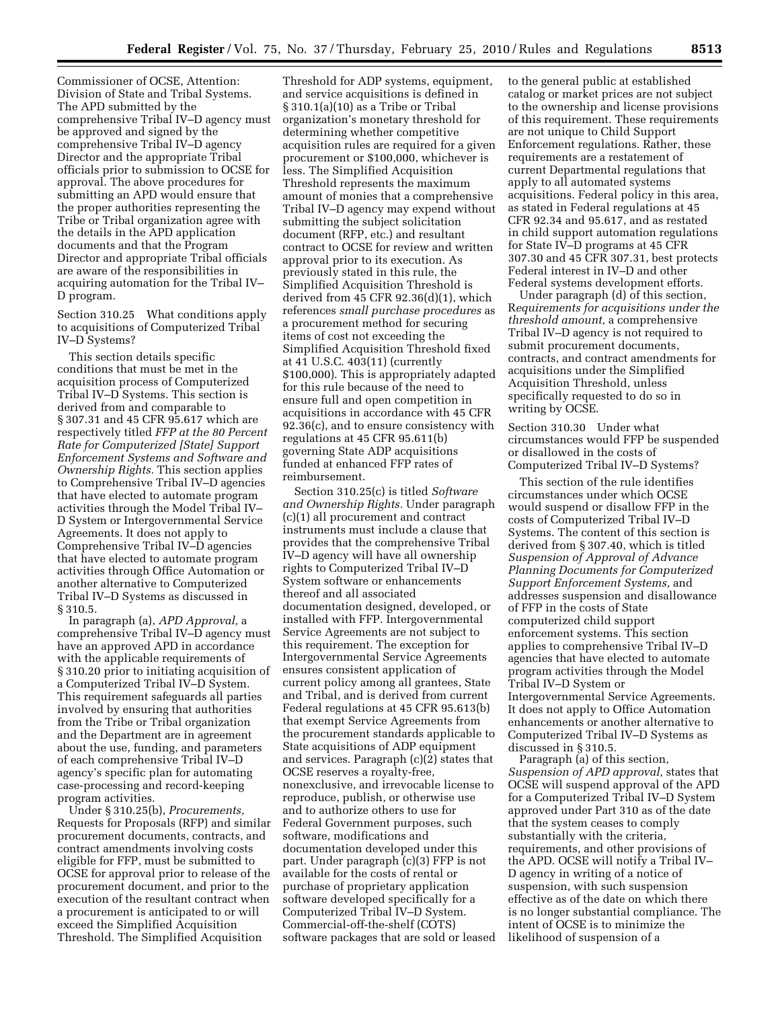Commissioner of OCSE, Attention: Division of State and Tribal Systems. The APD submitted by the comprehensive Tribal IV–D agency must be approved and signed by the comprehensive Tribal IV–D agency Director and the appropriate Tribal officials prior to submission to OCSE for approval. The above procedures for submitting an APD would ensure that the proper authorities representing the Tribe or Tribal organization agree with the details in the APD application documents and that the Program Director and appropriate Tribal officials are aware of the responsibilities in acquiring automation for the Tribal IV– D program.

Section 310.25 What conditions apply to acquisitions of Computerized Tribal IV–D Systems?

This section details specific conditions that must be met in the acquisition process of Computerized Tribal IV–D Systems. This section is derived from and comparable to § 307.31 and 45 CFR 95.617 which are respectively titled *FFP at the 80 Percent Rate for Computerized [State] Support Enforcement Systems and Software and Ownership Rights.* This section applies to Comprehensive Tribal IV–D agencies that have elected to automate program activities through the Model Tribal IV– D System or Intergovernmental Service Agreements. It does not apply to Comprehensive Tribal IV–D agencies that have elected to automate program activities through Office Automation or another alternative to Computerized Tribal IV–D Systems as discussed in § 310.5.

In paragraph (a), *APD Approval,* a comprehensive Tribal IV–D agency must have an approved APD in accordance with the applicable requirements of § 310.20 prior to initiating acquisition of a Computerized Tribal IV–D System. This requirement safeguards all parties involved by ensuring that authorities from the Tribe or Tribal organization and the Department are in agreement about the use, funding, and parameters of each comprehensive Tribal IV–D agency's specific plan for automating case-processing and record-keeping program activities.

Under § 310.25(b), *Procurements,*  Requests for Proposals (RFP) and similar procurement documents, contracts, and contract amendments involving costs eligible for FFP, must be submitted to OCSE for approval prior to release of the procurement document, and prior to the execution of the resultant contract when a procurement is anticipated to or will exceed the Simplified Acquisition Threshold. The Simplified Acquisition

Threshold for ADP systems, equipment, and service acquisitions is defined in § 310.1(a)(10) as a Tribe or Tribal organization's monetary threshold for determining whether competitive acquisition rules are required for a given procurement or \$100,000, whichever is less. The Simplified Acquisition Threshold represents the maximum amount of monies that a comprehensive Tribal IV–D agency may expend without submitting the subject solicitation document (RFP, etc.) and resultant contract to OCSE for review and written approval prior to its execution. As previously stated in this rule, the Simplified Acquisition Threshold is derived from 45 CFR 92.36(d)(1), which references *small purchase procedures* as a procurement method for securing items of cost not exceeding the Simplified Acquisition Threshold fixed at 41 U.S.C. 403(11) (currently \$100,000). This is appropriately adapted for this rule because of the need to ensure full and open competition in acquisitions in accordance with 45 CFR 92.36(c), and to ensure consistency with regulations at 45 CFR 95.611(b) governing State ADP acquisitions funded at enhanced FFP rates of reimbursement.

Section 310.25(c) is titled *Software and Ownership Rights.* Under paragraph (c)(1) all procurement and contract instruments must include a clause that provides that the comprehensive Tribal IV–D agency will have all ownership rights to Computerized Tribal IV–D System software or enhancements thereof and all associated documentation designed, developed, or installed with FFP. Intergovernmental Service Agreements are not subject to this requirement. The exception for Intergovernmental Service Agreements ensures consistent application of current policy among all grantees, State and Tribal, and is derived from current Federal regulations at 45 CFR 95.613(b) that exempt Service Agreements from the procurement standards applicable to State acquisitions of ADP equipment and services. Paragraph (c)(2) states that OCSE reserves a royalty-free, nonexclusive, and irrevocable license to reproduce, publish, or otherwise use and to authorize others to use for Federal Government purposes, such software, modifications and documentation developed under this part. Under paragraph (c)(3) FFP is not available for the costs of rental or purchase of proprietary application software developed specifically for a Computerized Tribal IV–D System. Commercial-off-the-shelf (COTS) software packages that are sold or leased to the general public at established catalog or market prices are not subject to the ownership and license provisions of this requirement. These requirements are not unique to Child Support Enforcement regulations. Rather, these requirements are a restatement of current Departmental regulations that apply to all automated systems acquisitions. Federal policy in this area, as stated in Federal regulations at 45 CFR 92.34 and 95.617, and as restated in child support automation regulations for State IV–D programs at 45 CFR 307.30 and 45 CFR 307.31, best protects Federal interest in IV–D and other Federal systems development efforts.

Under paragraph (d) of this section, R*equirements for acquisitions under the threshold amount,* a comprehensive Tribal IV–D agency is not required to submit procurement documents, contracts, and contract amendments for acquisitions under the Simplified Acquisition Threshold, unless specifically requested to do so in writing by OCSE.

Section 310.30 Under what circumstances would FFP be suspended or disallowed in the costs of Computerized Tribal IV–D Systems?

This section of the rule identifies circumstances under which OCSE would suspend or disallow FFP in the costs of Computerized Tribal IV–D Systems. The content of this section is derived from § 307.40, which is titled *Suspension of Approval of Advance Planning Documents for Computerized Support Enforcement Systems,* and addresses suspension and disallowance of FFP in the costs of State computerized child support enforcement systems. This section applies to comprehensive Tribal IV–D agencies that have elected to automate program activities through the Model Tribal IV–D System or Intergovernmental Service Agreements. It does not apply to Office Automation enhancements or another alternative to Computerized Tribal IV–D Systems as discussed in § 310.5.

Paragraph (a) of this section, *Suspension of APD approval,* states that OCSE will suspend approval of the APD for a Computerized Tribal IV–D System approved under Part 310 as of the date that the system ceases to comply substantially with the criteria, requirements, and other provisions of the APD. OCSE will notify a Tribal IV– D agency in writing of a notice of suspension, with such suspension effective as of the date on which there is no longer substantial compliance. The intent of OCSE is to minimize the likelihood of suspension of a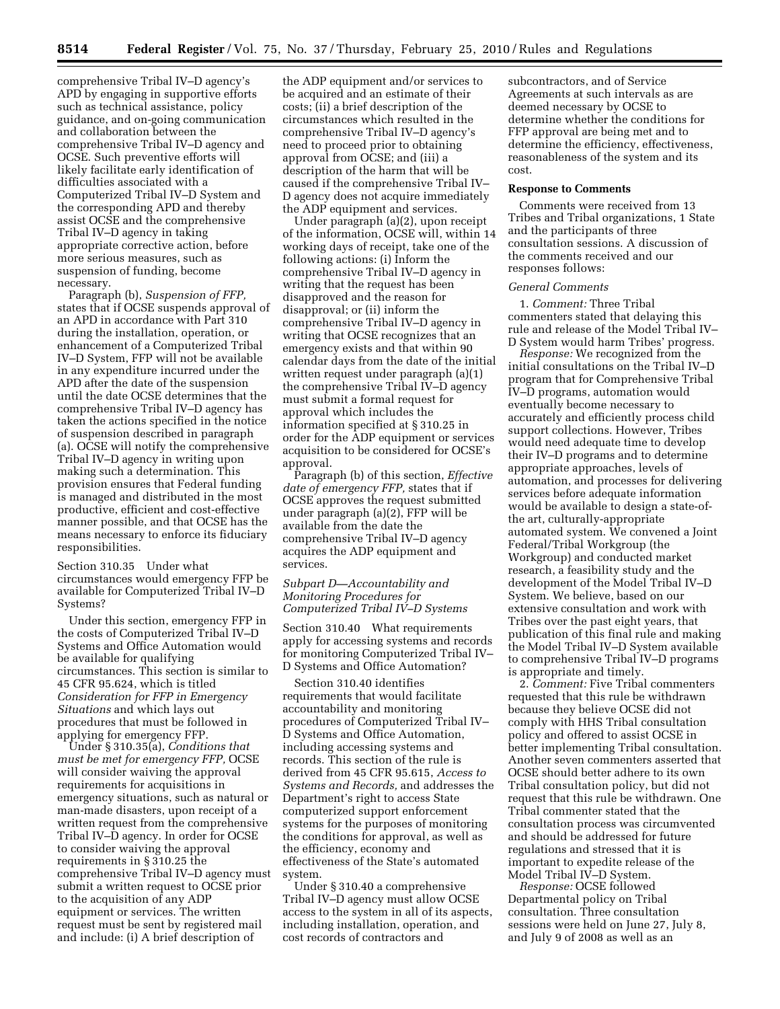comprehensive Tribal IV–D agency's APD by engaging in supportive efforts such as technical assistance, policy guidance, and on-going communication and collaboration between the comprehensive Tribal IV–D agency and OCSE. Such preventive efforts will likely facilitate early identification of difficulties associated with a Computerized Tribal IV–D System and the corresponding APD and thereby assist OCSE and the comprehensive Tribal IV–D agency in taking appropriate corrective action, before more serious measures, such as suspension of funding, become necessary.

Paragraph (b), *Suspension of FFP,*  states that if OCSE suspends approval of an APD in accordance with Part 310 during the installation, operation, or enhancement of a Computerized Tribal IV–D System, FFP will not be available in any expenditure incurred under the APD after the date of the suspension until the date OCSE determines that the comprehensive Tribal IV–D agency has taken the actions specified in the notice of suspension described in paragraph (a). OCSE will notify the comprehensive Tribal IV–D agency in writing upon making such a determination. This provision ensures that Federal funding is managed and distributed in the most productive, efficient and cost-effective manner possible, and that OCSE has the means necessary to enforce its fiduciary responsibilities.

Section 310.35 Under what circumstances would emergency FFP be available for Computerized Tribal IV–D Systems?

Under this section, emergency FFP in the costs of Computerized Tribal IV–D Systems and Office Automation would be available for qualifying circumstances. This section is similar to 45 CFR 95.624, which is titled *Consideration for FFP in Emergency Situations* and which lays out procedures that must be followed in applying for emergency FFP.

Under § 310.35(a), *Conditions that must be met for emergency FFP,* OCSE will consider waiving the approval requirements for acquisitions in emergency situations, such as natural or man-made disasters, upon receipt of a written request from the comprehensive Tribal IV–D agency. In order for OCSE to consider waiving the approval requirements in § 310.25 the comprehensive Tribal IV–D agency must submit a written request to OCSE prior to the acquisition of any ADP equipment or services. The written request must be sent by registered mail and include: (i) A brief description of

the ADP equipment and/or services to be acquired and an estimate of their costs; (ii) a brief description of the circumstances which resulted in the comprehensive Tribal IV–D agency's need to proceed prior to obtaining approval from OCSE; and (iii) a description of the harm that will be caused if the comprehensive Tribal IV– D agency does not acquire immediately the ADP equipment and services.

Under paragraph (a)(2), upon receipt of the information, OCSE will, within 14 working days of receipt, take one of the following actions: (i) Inform the comprehensive Tribal IV–D agency in writing that the request has been disapproved and the reason for disapproval; or (ii) inform the comprehensive Tribal IV–D agency in writing that OCSE recognizes that an emergency exists and that within 90 calendar days from the date of the initial written request under paragraph (a)(1) the comprehensive Tribal IV–D agency must submit a formal request for approval which includes the information specified at § 310.25 in order for the ADP equipment or services acquisition to be considered for OCSE's approval.

Paragraph (b) of this section, *Effective date of emergency FFP,* states that if OCSE approves the request submitted under paragraph (a)(2), FFP will be available from the date the comprehensive Tribal IV–D agency acquires the ADP equipment and services.

### *Subpart D—Accountability and Monitoring Procedures for Computerized Tribal IV–D Systems*

Section 310.40 What requirements apply for accessing systems and records for monitoring Computerized Tribal IV– D Systems and Office Automation?

Section 310.40 identifies requirements that would facilitate accountability and monitoring procedures of Computerized Tribal IV– D Systems and Office Automation, including accessing systems and records. This section of the rule is derived from 45 CFR 95.615, *Access to Systems and Records,* and addresses the Department's right to access State computerized support enforcement systems for the purposes of monitoring the conditions for approval, as well as the efficiency, economy and effectiveness of the State's automated system.

Under § 310.40 a comprehensive Tribal IV–D agency must allow OCSE access to the system in all of its aspects, including installation, operation, and cost records of contractors and

subcontractors, and of Service Agreements at such intervals as are deemed necessary by OCSE to determine whether the conditions for FFP approval are being met and to determine the efficiency, effectiveness, reasonableness of the system and its cost.

### **Response to Comments**

Comments were received from 13 Tribes and Tribal organizations, 1 State and the participants of three consultation sessions. A discussion of the comments received and our responses follows:

### *General Comments*

1. *Comment:* Three Tribal commenters stated that delaying this rule and release of the Model Tribal IV– D System would harm Tribes' progress.

*Response:* We recognized from the initial consultations on the Tribal IV–D program that for Comprehensive Tribal IV–D programs, automation would eventually become necessary to accurately and efficiently process child support collections. However, Tribes would need adequate time to develop their IV–D programs and to determine appropriate approaches, levels of automation, and processes for delivering services before adequate information would be available to design a state-ofthe art, culturally-appropriate automated system. We convened a Joint Federal/Tribal Workgroup (the Workgroup) and conducted market research, a feasibility study and the development of the Model Tribal IV–D System. We believe, based on our extensive consultation and work with Tribes over the past eight years, that publication of this final rule and making the Model Tribal IV–D System available to comprehensive Tribal IV–D programs is appropriate and timely.

2. *Comment:* Five Tribal commenters requested that this rule be withdrawn because they believe OCSE did not comply with HHS Tribal consultation policy and offered to assist OCSE in better implementing Tribal consultation. Another seven commenters asserted that OCSE should better adhere to its own Tribal consultation policy, but did not request that this rule be withdrawn. One Tribal commenter stated that the consultation process was circumvented and should be addressed for future regulations and stressed that it is important to expedite release of the Model Tribal IV–D System.

*Response:* OCSE followed Departmental policy on Tribal consultation. Three consultation sessions were held on June 27, July 8, and July 9 of 2008 as well as an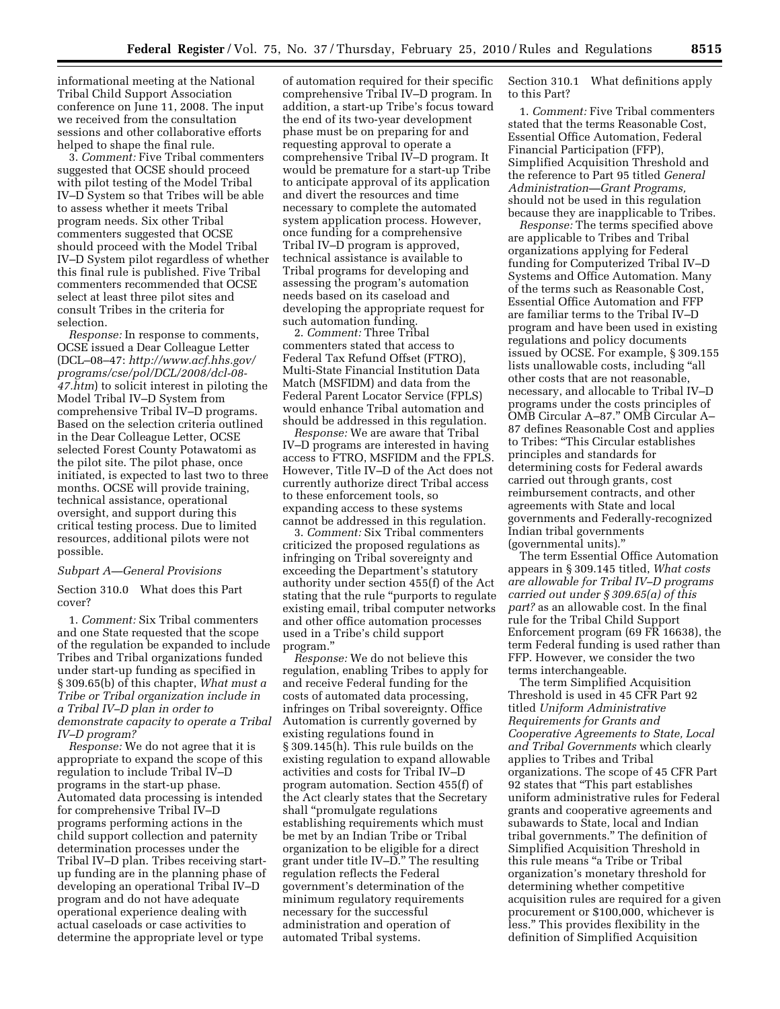informational meeting at the National Tribal Child Support Association conference on June 11, 2008. The input we received from the consultation sessions and other collaborative efforts helped to shape the final rule.

3. *Comment:* Five Tribal commenters suggested that OCSE should proceed with pilot testing of the Model Tribal IV–D System so that Tribes will be able to assess whether it meets Tribal program needs. Six other Tribal commenters suggested that OCSE should proceed with the Model Tribal IV–D System pilot regardless of whether this final rule is published. Five Tribal commenters recommended that OCSE select at least three pilot sites and consult Tribes in the criteria for selection.

*Response:* In response to comments, OCSE issued a Dear Colleague Letter (DCL–08–47: *http://www.acf.hhs.gov/ programs/cse/pol/DCL/2008/dcl-08- 47.htm*) to solicit interest in piloting the Model Tribal IV–D System from comprehensive Tribal IV–D programs. Based on the selection criteria outlined in the Dear Colleague Letter, OCSE selected Forest County Potawatomi as the pilot site. The pilot phase, once initiated, is expected to last two to three months. OCSE will provide training, technical assistance, operational oversight, and support during this critical testing process. Due to limited resources, additional pilots were not possible.

#### *Subpart A—General Provisions*

Section 310.0 What does this Part cover?

1. *Comment:* Six Tribal commenters and one State requested that the scope of the regulation be expanded to include Tribes and Tribal organizations funded under start-up funding as specified in § 309.65(b) of this chapter, *What must a Tribe or Tribal organization include in a Tribal IV–D plan in order to demonstrate capacity to operate a Tribal IV–D program?* 

*Response:* We do not agree that it is appropriate to expand the scope of this regulation to include Tribal IV–D programs in the start-up phase. Automated data processing is intended for comprehensive Tribal IV–D programs performing actions in the child support collection and paternity determination processes under the Tribal IV–D plan. Tribes receiving startup funding are in the planning phase of developing an operational Tribal IV–D program and do not have adequate operational experience dealing with actual caseloads or case activities to determine the appropriate level or type

of automation required for their specific comprehensive Tribal IV–D program. In addition, a start-up Tribe's focus toward the end of its two-year development phase must be on preparing for and requesting approval to operate a comprehensive Tribal IV–D program. It would be premature for a start-up Tribe to anticipate approval of its application and divert the resources and time necessary to complete the automated system application process. However, once funding for a comprehensive Tribal IV–D program is approved, technical assistance is available to Tribal programs for developing and assessing the program's automation needs based on its caseload and developing the appropriate request for such automation funding.

2. *Comment:* Three Tribal commenters stated that access to Federal Tax Refund Offset (FTRO), Multi-State Financial Institution Data Match (MSFIDM) and data from the Federal Parent Locator Service (FPLS) would enhance Tribal automation and should be addressed in this regulation.

*Response:* We are aware that Tribal IV–D programs are interested in having access to FTRO, MSFIDM and the FPLS. However, Title IV–D of the Act does not currently authorize direct Tribal access to these enforcement tools, so expanding access to these systems cannot be addressed in this regulation.

3. *Comment:* Six Tribal commenters criticized the proposed regulations as infringing on Tribal sovereignty and exceeding the Department's statutory authority under section 455(f) of the Act stating that the rule ''purports to regulate existing email, tribal computer networks and other office automation processes used in a Tribe's child support program.''

*Response:* We do not believe this regulation, enabling Tribes to apply for and receive Federal funding for the costs of automated data processing, infringes on Tribal sovereignty. Office Automation is currently governed by existing regulations found in § 309.145(h). This rule builds on the existing regulation to expand allowable activities and costs for Tribal IV–D program automation. Section 455(f) of the Act clearly states that the Secretary shall ''promulgate regulations establishing requirements which must be met by an Indian Tribe or Tribal organization to be eligible for a direct grant under title IV–D.'' The resulting regulation reflects the Federal government's determination of the minimum regulatory requirements necessary for the successful administration and operation of automated Tribal systems.

Section 310.1 What definitions apply to this Part?

1. *Comment:* Five Tribal commenters stated that the terms Reasonable Cost, Essential Office Automation, Federal Financial Participation (FFP), Simplified Acquisition Threshold and the reference to Part 95 titled *General Administration—Grant Programs,*  should not be used in this regulation because they are inapplicable to Tribes.

*Response:* The terms specified above are applicable to Tribes and Tribal organizations applying for Federal funding for Computerized Tribal IV–D Systems and Office Automation. Many of the terms such as Reasonable Cost, Essential Office Automation and FFP are familiar terms to the Tribal IV–D program and have been used in existing regulations and policy documents issued by OCSE. For example, § 309.155 lists unallowable costs, including ''all other costs that are not reasonable, necessary, and allocable to Tribal IV–D programs under the costs principles of OMB Circular A–87.'' OMB Circular A– 87 defines Reasonable Cost and applies to Tribes: ''This Circular establishes principles and standards for determining costs for Federal awards carried out through grants, cost reimbursement contracts, and other agreements with State and local governments and Federally-recognized Indian tribal governments (governmental units).''

The term Essential Office Automation appears in § 309.145 titled, *What costs are allowable for Tribal IV–D programs carried out under § 309.65(a) of this part?* as an allowable cost. In the final rule for the Tribal Child Support Enforcement program (69 FR 16638), the term Federal funding is used rather than FFP. However, we consider the two terms interchangeable.

The term Simplified Acquisition Threshold is used in 45 CFR Part 92 titled *Uniform Administrative Requirements for Grants and Cooperative Agreements to State, Local and Tribal Governments* which clearly applies to Tribes and Tribal organizations. The scope of 45 CFR Part 92 states that ''This part establishes uniform administrative rules for Federal grants and cooperative agreements and subawards to State, local and Indian tribal governments.'' The definition of Simplified Acquisition Threshold in this rule means ''a Tribe or Tribal organization's monetary threshold for determining whether competitive acquisition rules are required for a given procurement or \$100,000, whichever is less.'' This provides flexibility in the definition of Simplified Acquisition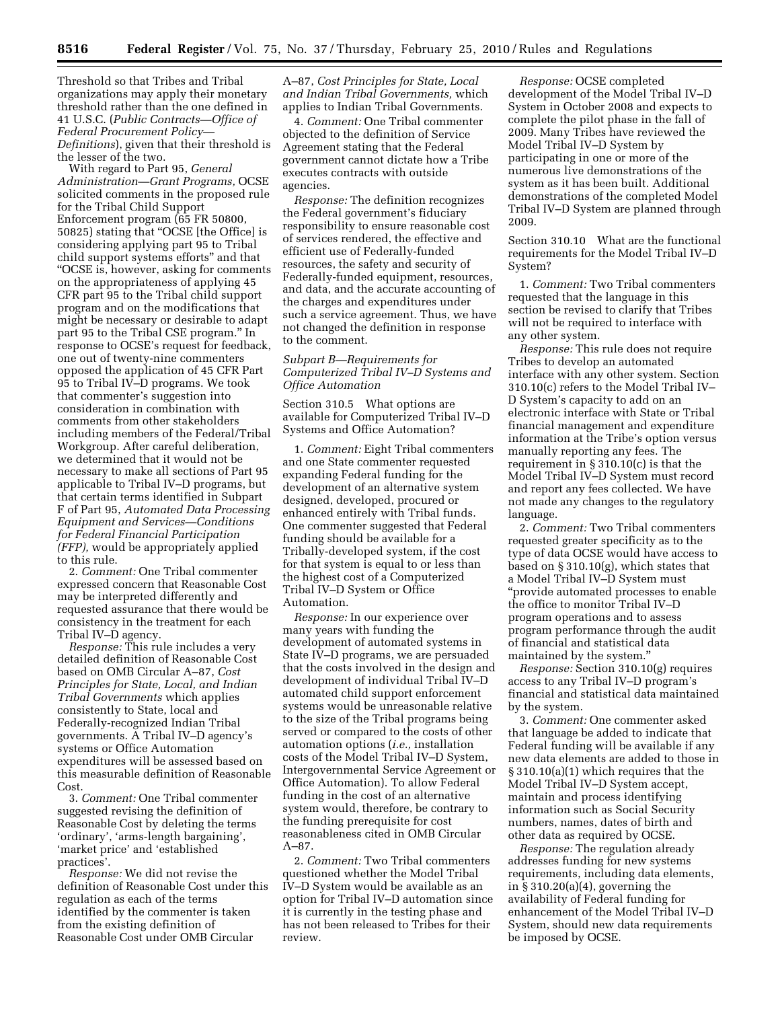Threshold so that Tribes and Tribal organizations may apply their monetary threshold rather than the one defined in 41 U.S.C. (*Public Contracts—Office of Federal Procurement Policy— Definitions*), given that their threshold is the lesser of the two.

With regard to Part 95, *General Administration—Grant Programs,* OCSE solicited comments in the proposed rule for the Tribal Child Support Enforcement program (65 FR 50800, 50825) stating that "OCSE [the Office] is considering applying part 95 to Tribal child support systems efforts'' and that ''OCSE is, however, asking for comments on the appropriateness of applying 45 CFR part 95 to the Tribal child support program and on the modifications that might be necessary or desirable to adapt part 95 to the Tribal CSE program.'' In response to OCSE's request for feedback, one out of twenty-nine commenters opposed the application of 45 CFR Part 95 to Tribal IV–D programs. We took that commenter's suggestion into consideration in combination with comments from other stakeholders including members of the Federal/Tribal Workgroup. After careful deliberation, we determined that it would not be necessary to make all sections of Part 95 applicable to Tribal IV–D programs, but that certain terms identified in Subpart F of Part 95, *Automated Data Processing Equipment and Services—Conditions for Federal Financial Participation (FFP),* would be appropriately applied to this rule.

2. *Comment:* One Tribal commenter expressed concern that Reasonable Cost may be interpreted differently and requested assurance that there would be consistency in the treatment for each Tribal IV–D agency.

*Response:* This rule includes a very detailed definition of Reasonable Cost based on OMB Circular A–87, *Cost Principles for State, Local, and Indian Tribal Governments* which applies consistently to State, local and Federally-recognized Indian Tribal governments. A Tribal IV–D agency's systems or Office Automation expenditures will be assessed based on this measurable definition of Reasonable Cost.

3. *Comment:* One Tribal commenter suggested revising the definition of Reasonable Cost by deleting the terms 'ordinary', 'arms-length bargaining', 'market price' and 'established practices'.

*Response:* We did not revise the definition of Reasonable Cost under this regulation as each of the terms identified by the commenter is taken from the existing definition of Reasonable Cost under OMB Circular

A–87, *Cost Principles for State, Local and Indian Tribal Governments,* which applies to Indian Tribal Governments.

4. *Comment:* One Tribal commenter objected to the definition of Service Agreement stating that the Federal government cannot dictate how a Tribe executes contracts with outside agencies.

*Response:* The definition recognizes the Federal government's fiduciary responsibility to ensure reasonable cost of services rendered, the effective and efficient use of Federally-funded resources, the safety and security of Federally-funded equipment, resources, and data, and the accurate accounting of the charges and expenditures under such a service agreement. Thus, we have not changed the definition in response to the comment.

## *Subpart B—Requirements for Computerized Tribal IV–D Systems and Office Automation*

Section 310.5 What options are available for Computerized Tribal IV–D Systems and Office Automation?

1. *Comment:* Eight Tribal commenters and one State commenter requested expanding Federal funding for the development of an alternative system designed, developed, procured or enhanced entirely with Tribal funds. One commenter suggested that Federal funding should be available for a Tribally-developed system, if the cost for that system is equal to or less than the highest cost of a Computerized Tribal IV–D System or Office Automation.

*Response:* In our experience over many years with funding the development of automated systems in State IV–D programs, we are persuaded that the costs involved in the design and development of individual Tribal IV–D automated child support enforcement systems would be unreasonable relative to the size of the Tribal programs being served or compared to the costs of other automation options (*i.e.,* installation costs of the Model Tribal IV–D System, Intergovernmental Service Agreement or Office Automation). To allow Federal funding in the cost of an alternative system would, therefore, be contrary to the funding prerequisite for cost reasonableness cited in OMB Circular A–87.

2. *Comment:* Two Tribal commenters questioned whether the Model Tribal IV–D System would be available as an option for Tribal IV–D automation since it is currently in the testing phase and has not been released to Tribes for their review.

*Response:* OCSE completed development of the Model Tribal IV–D System in October 2008 and expects to complete the pilot phase in the fall of 2009. Many Tribes have reviewed the Model Tribal IV–D System by participating in one or more of the numerous live demonstrations of the system as it has been built. Additional demonstrations of the completed Model Tribal IV–D System are planned through 2009.

Section 310.10 What are the functional requirements for the Model Tribal IV–D System?

1. *Comment:* Two Tribal commenters requested that the language in this section be revised to clarify that Tribes will not be required to interface with any other system.

*Response:* This rule does not require Tribes to develop an automated interface with any other system. Section 310.10(c) refers to the Model Tribal IV– D System's capacity to add on an electronic interface with State or Tribal financial management and expenditure information at the Tribe's option versus manually reporting any fees. The requirement in § 310.10(c) is that the Model Tribal IV–D System must record and report any fees collected. We have not made any changes to the regulatory language.

2. *Comment:* Two Tribal commenters requested greater specificity as to the type of data OCSE would have access to based on § 310.10(g), which states that a Model Tribal IV–D System must ''provide automated processes to enable the office to monitor Tribal IV–D program operations and to assess program performance through the audit of financial and statistical data maintained by the system.''

*Response:* Section 310.10(g) requires access to any Tribal IV–D program's financial and statistical data maintained by the system.

3. *Comment:* One commenter asked that language be added to indicate that Federal funding will be available if any new data elements are added to those in § 310.10(a)(1) which requires that the Model Tribal IV–D System accept, maintain and process identifying information such as Social Security numbers, names, dates of birth and other data as required by OCSE.

*Response:* The regulation already addresses funding for new systems requirements, including data elements, in  $\S 310.20(a)(4)$ , governing the availability of Federal funding for enhancement of the Model Tribal IV–D System, should new data requirements be imposed by OCSE.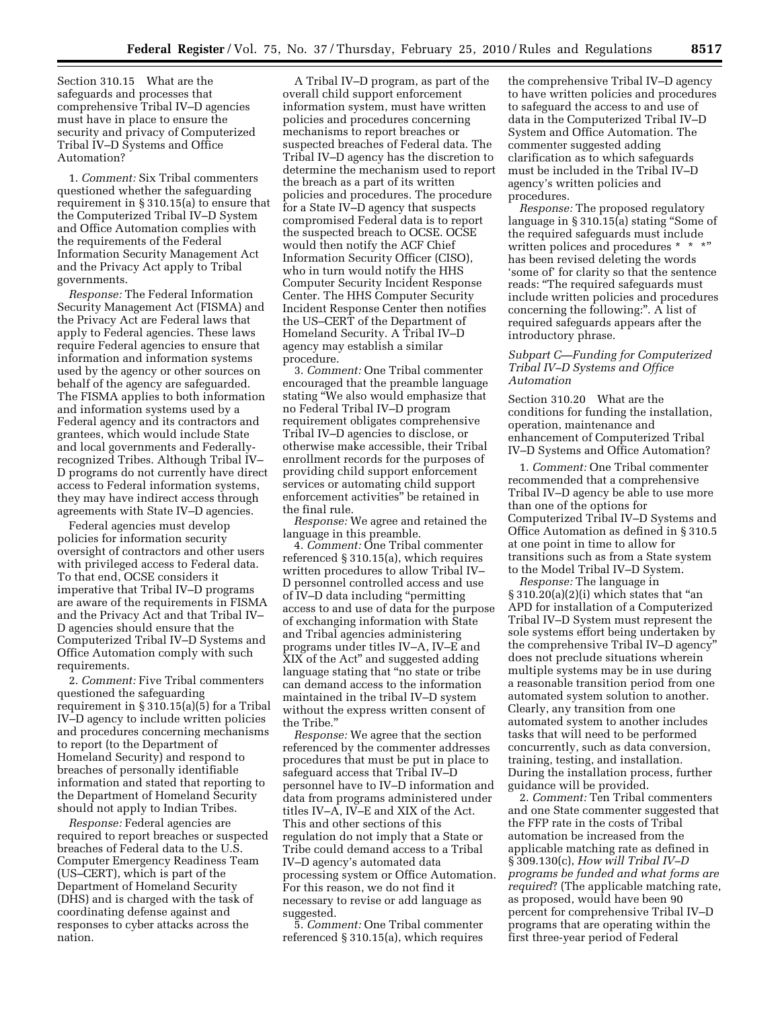Section 310.15 What are the safeguards and processes that comprehensive Tribal IV–D agencies must have in place to ensure the security and privacy of Computerized Tribal IV–D Systems and Office Automation?

1. *Comment:* Six Tribal commenters questioned whether the safeguarding requirement in § 310.15(a) to ensure that the Computerized Tribal IV–D System and Office Automation complies with the requirements of the Federal Information Security Management Act and the Privacy Act apply to Tribal governments.

*Response:* The Federal Information Security Management Act (FISMA) and the Privacy Act are Federal laws that apply to Federal agencies. These laws require Federal agencies to ensure that information and information systems used by the agency or other sources on behalf of the agency are safeguarded. The FISMA applies to both information and information systems used by a Federal agency and its contractors and grantees, which would include State and local governments and Federallyrecognized Tribes. Although Tribal IV– D programs do not currently have direct access to Federal information systems, they may have indirect access through agreements with State IV–D agencies.

Federal agencies must develop policies for information security oversight of contractors and other users with privileged access to Federal data. To that end, OCSE considers it imperative that Tribal IV–D programs are aware of the requirements in FISMA and the Privacy Act and that Tribal IV– D agencies should ensure that the Computerized Tribal IV–D Systems and Office Automation comply with such requirements.

2. *Comment:* Five Tribal commenters questioned the safeguarding requirement in § 310.15(a)(5) for a Tribal IV–D agency to include written policies and procedures concerning mechanisms to report (to the Department of Homeland Security) and respond to breaches of personally identifiable information and stated that reporting to the Department of Homeland Security should not apply to Indian Tribes.

*Response:* Federal agencies are required to report breaches or suspected breaches of Federal data to the U.S. Computer Emergency Readiness Team (US–CERT), which is part of the Department of Homeland Security (DHS) and is charged with the task of coordinating defense against and responses to cyber attacks across the nation.

A Tribal IV–D program, as part of the overall child support enforcement information system, must have written policies and procedures concerning mechanisms to report breaches or suspected breaches of Federal data. The Tribal IV–D agency has the discretion to determine the mechanism used to report the breach as a part of its written policies and procedures. The procedure for a State IV–D agency that suspects compromised Federal data is to report the suspected breach to OCSE. OCSE would then notify the ACF Chief Information Security Officer (CISO), who in turn would notify the HHS Computer Security Incident Response Center. The HHS Computer Security Incident Response Center then notifies the US–CERT of the Department of Homeland Security. A Tribal IV–D agency may establish a similar procedure.

3. *Comment:* One Tribal commenter encouraged that the preamble language stating ''We also would emphasize that no Federal Tribal IV–D program requirement obligates comprehensive Tribal IV–D agencies to disclose, or otherwise make accessible, their Tribal enrollment records for the purposes of providing child support enforcement services or automating child support enforcement activities'' be retained in the final rule.

*Response:* We agree and retained the language in this preamble.

4. *Comment:* One Tribal commenter referenced § 310.15(a), which requires written procedures to allow Tribal IV– D personnel controlled access and use of IV–D data including ''permitting access to and use of data for the purpose of exchanging information with State and Tribal agencies administering programs under titles IV–A, IV–E and XIX of the Act'' and suggested adding language stating that ''no state or tribe can demand access to the information maintained in the tribal IV–D system without the express written consent of the Tribe.''

*Response:* We agree that the section referenced by the commenter addresses procedures that must be put in place to safeguard access that Tribal IV–D personnel have to IV–D information and data from programs administered under titles IV–A, IV–E and XIX of the Act. This and other sections of this regulation do not imply that a State or Tribe could demand access to a Tribal IV–D agency's automated data processing system or Office Automation. For this reason, we do not find it necessary to revise or add language as suggested.

5. *Comment:* One Tribal commenter referenced § 310.15(a), which requires

the comprehensive Tribal IV–D agency to have written policies and procedures to safeguard the access to and use of data in the Computerized Tribal IV–D System and Office Automation. The commenter suggested adding clarification as to which safeguards must be included in the Tribal IV–D agency's written policies and procedures.

*Response:* The proposed regulatory language in § 310.15(a) stating ''Some of the required safeguards must include written polices and procedures \* \* \*" has been revised deleting the words 'some of' for clarity so that the sentence reads: ''The required safeguards must include written policies and procedures concerning the following:''. A list of required safeguards appears after the introductory phrase.

## *Subpart C—Funding for Computerized Tribal IV–D Systems and Office Automation*

Section 310.20 What are the conditions for funding the installation, operation, maintenance and enhancement of Computerized Tribal IV–D Systems and Office Automation?

1. *Comment:* One Tribal commenter recommended that a comprehensive Tribal IV–D agency be able to use more than one of the options for Computerized Tribal IV–D Systems and Office Automation as defined in § 310.5 at one point in time to allow for transitions such as from a State system to the Model Tribal IV–D System.

*Response:* The language in  $\S 310.20(a)(2)(i)$  which states that "an APD for installation of a Computerized Tribal IV–D System must represent the sole systems effort being undertaken by the comprehensive Tribal IV–D agency'' does not preclude situations wherein multiple systems may be in use during a reasonable transition period from one automated system solution to another. Clearly, any transition from one automated system to another includes tasks that will need to be performed concurrently, such as data conversion, training, testing, and installation. During the installation process, further guidance will be provided.

2. *Comment:* Ten Tribal commenters and one State commenter suggested that the FFP rate in the costs of Tribal automation be increased from the applicable matching rate as defined in § 309.130(c), *How will Tribal IV–D programs be funded and what forms are required*? (The applicable matching rate, as proposed, would have been 90 percent for comprehensive Tribal IV–D programs that are operating within the first three-year period of Federal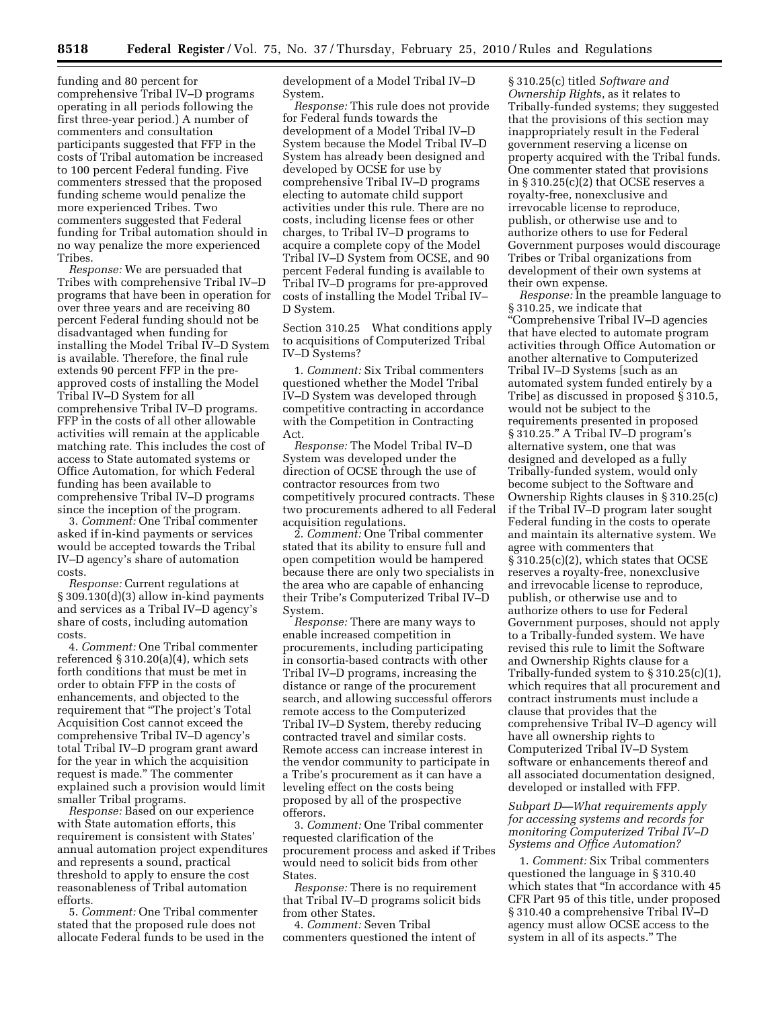funding and 80 percent for comprehensive Tribal IV–D programs operating in all periods following the first three-year period.) A number of commenters and consultation participants suggested that FFP in the costs of Tribal automation be increased to 100 percent Federal funding. Five commenters stressed that the proposed funding scheme would penalize the more experienced Tribes. Two commenters suggested that Federal funding for Tribal automation should in no way penalize the more experienced Tribes.

*Response:* We are persuaded that Tribes with comprehensive Tribal IV–D programs that have been in operation for over three years and are receiving 80 percent Federal funding should not be disadvantaged when funding for installing the Model Tribal IV–D System is available. Therefore, the final rule extends 90 percent FFP in the preapproved costs of installing the Model Tribal IV–D System for all comprehensive Tribal IV–D programs. FFP in the costs of all other allowable activities will remain at the applicable matching rate. This includes the cost of access to State automated systems or Office Automation, for which Federal funding has been available to comprehensive Tribal IV–D programs since the inception of the program.

3. *Comment:* One Tribal commenter asked if in-kind payments or services would be accepted towards the Tribal IV–D agency's share of automation costs.

*Response:* Current regulations at § 309.130(d)(3) allow in-kind payments and services as a Tribal IV–D agency's share of costs, including automation costs.

4. *Comment:* One Tribal commenter referenced  $\S 310.20(a)(4)$ , which sets forth conditions that must be met in order to obtain FFP in the costs of enhancements, and objected to the requirement that ''The project's Total Acquisition Cost cannot exceed the comprehensive Tribal IV–D agency's total Tribal IV–D program grant award for the year in which the acquisition request is made.'' The commenter explained such a provision would limit smaller Tribal programs.

*Response:* Based on our experience with State automation efforts, this requirement is consistent with States' annual automation project expenditures and represents a sound, practical threshold to apply to ensure the cost reasonableness of Tribal automation efforts.

5. *Comment:* One Tribal commenter stated that the proposed rule does not allocate Federal funds to be used in the development of a Model Tribal IV–D System.

*Response:* This rule does not provide for Federal funds towards the development of a Model Tribal IV–D System because the Model Tribal IV–D System has already been designed and developed by OCSE for use by comprehensive Tribal IV–D programs electing to automate child support activities under this rule. There are no costs, including license fees or other charges, to Tribal IV–D programs to acquire a complete copy of the Model Tribal IV–D System from OCSE, and 90 percent Federal funding is available to Tribal IV–D programs for pre-approved costs of installing the Model Tribal IV– D System.

Section 310.25 What conditions apply to acquisitions of Computerized Tribal IV–D Systems?

1. *Comment:* Six Tribal commenters questioned whether the Model Tribal IV–D System was developed through competitive contracting in accordance with the Competition in Contracting Act.

*Response:* The Model Tribal IV–D System was developed under the direction of OCSE through the use of contractor resources from two competitively procured contracts. These two procurements adhered to all Federal acquisition regulations.

2. *Comment:* One Tribal commenter stated that its ability to ensure full and open competition would be hampered because there are only two specialists in the area who are capable of enhancing their Tribe's Computerized Tribal IV–D System.

*Response:* There are many ways to enable increased competition in procurements, including participating in consortia-based contracts with other Tribal IV–D programs, increasing the distance or range of the procurement search, and allowing successful offerors remote access to the Computerized Tribal IV–D System, thereby reducing contracted travel and similar costs. Remote access can increase interest in the vendor community to participate in a Tribe's procurement as it can have a leveling effect on the costs being proposed by all of the prospective offerors.

3. *Comment:* One Tribal commenter requested clarification of the procurement process and asked if Tribes would need to solicit bids from other States.

*Response:* There is no requirement that Tribal IV–D programs solicit bids from other States.

4. *Comment:* Seven Tribal commenters questioned the intent of

§ 310.25(c) titled *Software and Ownership Right*s, as it relates to Tribally-funded systems; they suggested that the provisions of this section may inappropriately result in the Federal government reserving a license on property acquired with the Tribal funds. One commenter stated that provisions in § 310.25(c)(2) that OCSE reserves a royalty-free, nonexclusive and irrevocable license to reproduce, publish, or otherwise use and to authorize others to use for Federal Government purposes would discourage Tribes or Tribal organizations from development of their own systems at their own expense.

*Response:* In the preamble language to § 310.25, we indicate that ''Comprehensive Tribal IV–D agencies that have elected to automate program activities through Office Automation or another alternative to Computerized Tribal IV–D Systems [such as an automated system funded entirely by a Tribe] as discussed in proposed § 310.5, would not be subject to the requirements presented in proposed § 310.25.'' A Tribal IV–D program's alternative system, one that was designed and developed as a fully Tribally-funded system, would only become subject to the Software and Ownership Rights clauses in § 310.25(c) if the Tribal IV–D program later sought Federal funding in the costs to operate and maintain its alternative system. We agree with commenters that § 310.25(c)(2), which states that OCSE reserves a royalty-free, nonexclusive and irrevocable license to reproduce, publish, or otherwise use and to authorize others to use for Federal Government purposes, should not apply to a Tribally-funded system. We have revised this rule to limit the Software and Ownership Rights clause for a Tribally-funded system to § 310.25(c)(1), which requires that all procurement and contract instruments must include a clause that provides that the comprehensive Tribal IV–D agency will have all ownership rights to Computerized Tribal IV–D System software or enhancements thereof and all associated documentation designed, developed or installed with FFP.

## *Subpart D—What requirements apply for accessing systems and records for monitoring Computerized Tribal IV–D Systems and Office Automation?*

1. *Comment:* Six Tribal commenters questioned the language in § 310.40 which states that ''In accordance with 45 CFR Part 95 of this title, under proposed § 310.40 a comprehensive Tribal IV–D agency must allow OCSE access to the system in all of its aspects.'' The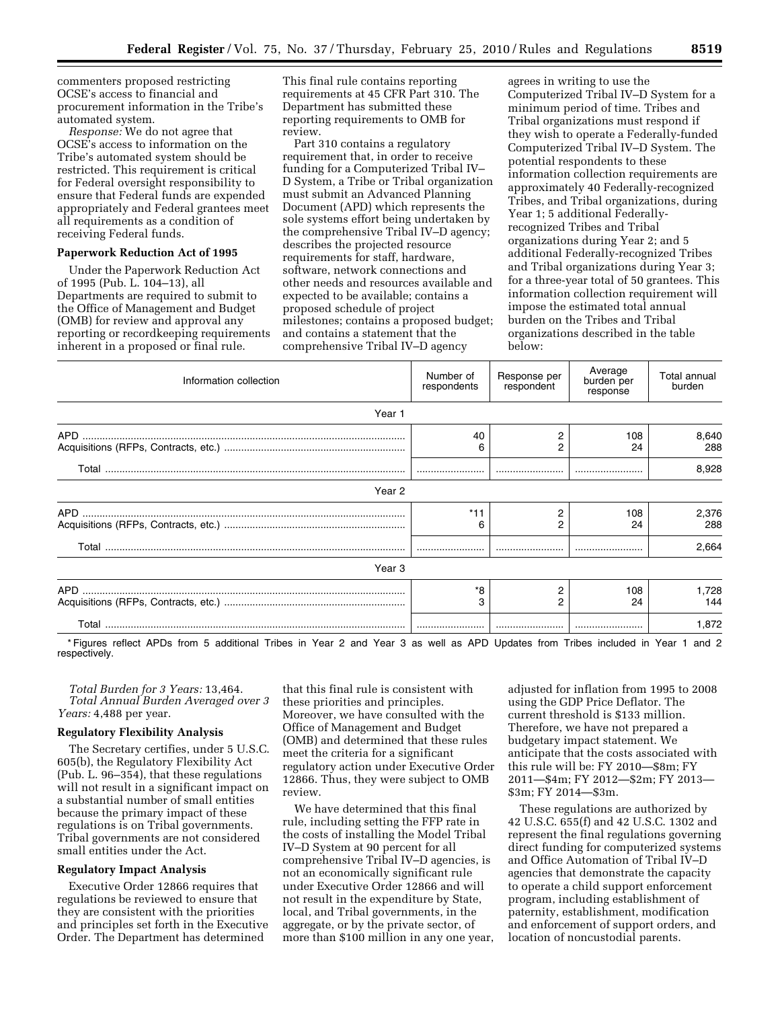commenters proposed restricting OCSE's access to financial and procurement information in the Tribe's automated system.

*Response:* We do not agree that OCSE's access to information on the Tribe's automated system should be restricted. This requirement is critical for Federal oversight responsibility to ensure that Federal funds are expended appropriately and Federal grantees meet all requirements as a condition of receiving Federal funds.

#### **Paperwork Reduction Act of 1995**

Under the Paperwork Reduction Act of 1995 (Pub. L. 104–13), all Departments are required to submit to the Office of Management and Budget (OMB) for review and approval any reporting or recordkeeping requirements inherent in a proposed or final rule.

This final rule contains reporting requirements at 45 CFR Part 310. The Department has submitted these reporting requirements to OMB for review.

Part 310 contains a regulatory requirement that, in order to receive funding for a Computerized Tribal IV– D System, a Tribe or Tribal organization must submit an Advanced Planning Document (APD) which represents the sole systems effort being undertaken by the comprehensive Tribal IV–D agency; describes the projected resource requirements for staff, hardware, software, network connections and other needs and resources available and expected to be available; contains a proposed schedule of project milestones; contains a proposed budget; and contains a statement that the comprehensive Tribal IV–D agency

agrees in writing to use the Computerized Tribal IV–D System for a minimum period of time. Tribes and Tribal organizations must respond if they wish to operate a Federally-funded Computerized Tribal IV–D System. The potential respondents to these information collection requirements are approximately 40 Federally-recognized Tribes, and Tribal organizations, during Year 1; 5 additional Federallyrecognized Tribes and Tribal organizations during Year 2; and 5 additional Federally-recognized Tribes and Tribal organizations during Year 3; for a three-year total of 50 grantees. This information collection requirement will impose the estimated total annual burden on the Tribes and Tribal organizations described in the table below:

| Information collection | Number of<br>respondents | Response per<br>respondent | Average<br>burden per<br>response | Total annual<br>burden |
|------------------------|--------------------------|----------------------------|-----------------------------------|------------------------|
| Year 1                 |                          |                            |                                   |                        |
|                        | 40<br>6                  | 2<br>2                     | 108<br>24                         | 8,640<br>288           |
|                        |                          |                            |                                   | 8,928                  |
| Year 2                 |                          |                            |                                   |                        |
|                        | *11<br>6                 | 2<br>2                     | 108<br>24                         | 2,376<br>288           |
|                        |                          |                            |                                   | 2,664                  |
| Year 3                 |                          |                            |                                   |                        |
|                        | *8<br>3                  | 2<br>2                     | 108<br>24                         | 1,728<br>144           |
|                        |                          |                            |                                   | 1,872                  |

\* Figures reflect APDs from 5 additional Tribes in Year 2 and Year 3 as well as APD Updates from Tribes included in Year 1 and 2 respectively.

*Total Burden for 3 Years:* 13,464. *Total Annual Burden Averaged over 3 Years:* 4,488 per year.

### **Regulatory Flexibility Analysis**

The Secretary certifies, under 5 U.S.C. 605(b), the Regulatory Flexibility Act (Pub. L. 96–354), that these regulations will not result in a significant impact on a substantial number of small entities because the primary impact of these regulations is on Tribal governments. Tribal governments are not considered small entities under the Act.

#### **Regulatory Impact Analysis**

Executive Order 12866 requires that regulations be reviewed to ensure that they are consistent with the priorities and principles set forth in the Executive Order. The Department has determined

that this final rule is consistent with these priorities and principles. Moreover, we have consulted with the Office of Management and Budget (OMB) and determined that these rules meet the criteria for a significant regulatory action under Executive Order 12866. Thus, they were subject to OMB review.

We have determined that this final rule, including setting the FFP rate in the costs of installing the Model Tribal IV–D System at 90 percent for all comprehensive Tribal IV–D agencies, is not an economically significant rule under Executive Order 12866 and will not result in the expenditure by State, local, and Tribal governments, in the aggregate, or by the private sector, of more than \$100 million in any one year,

adjusted for inflation from 1995 to 2008 using the GDP Price Deflator. The current threshold is \$133 million. Therefore, we have not prepared a budgetary impact statement. We anticipate that the costs associated with this rule will be: FY 2010—\$8m; FY 2011—\$4m; FY 2012—\$2m; FY 2013— \$3m; FY 2014—\$3m.

These regulations are authorized by 42 U.S.C. 655(f) and 42 U.S.C. 1302 and represent the final regulations governing direct funding for computerized systems and Office Automation of Tribal IV–D agencies that demonstrate the capacity to operate a child support enforcement program, including establishment of paternity, establishment, modification and enforcement of support orders, and location of noncustodial parents.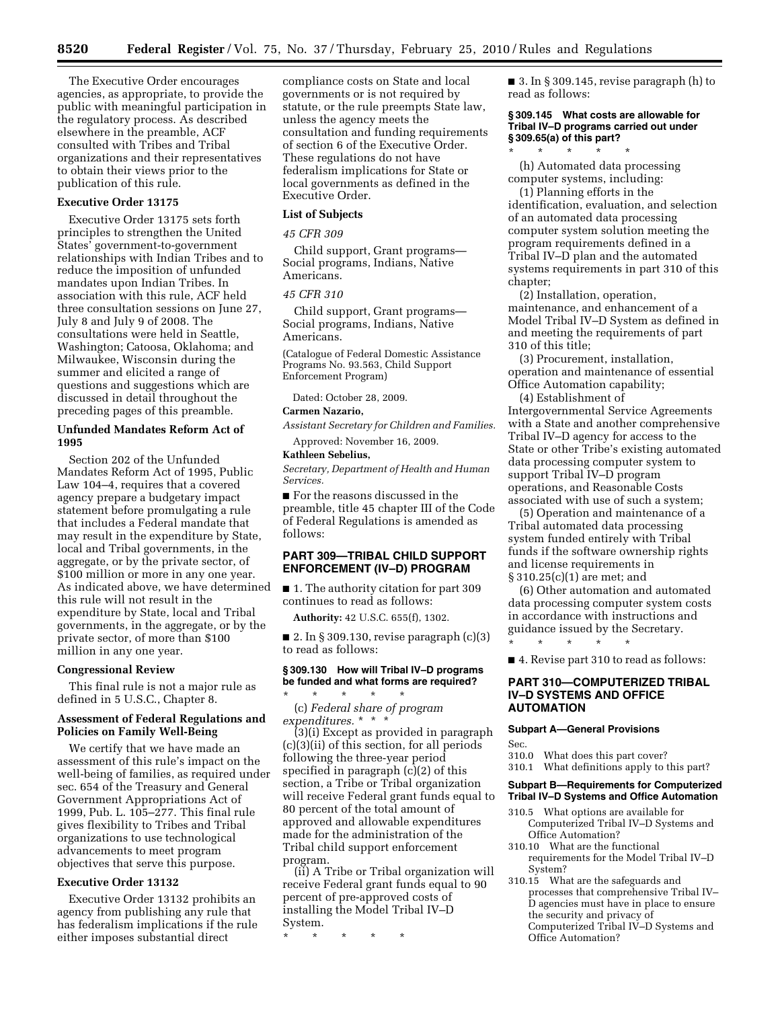The Executive Order encourages agencies, as appropriate, to provide the public with meaningful participation in the regulatory process. As described elsewhere in the preamble, ACF consulted with Tribes and Tribal organizations and their representatives to obtain their views prior to the publication of this rule.

## **Executive Order 13175**

Executive Order 13175 sets forth principles to strengthen the United States' government-to-government relationships with Indian Tribes and to reduce the imposition of unfunded mandates upon Indian Tribes. In association with this rule, ACF held three consultation sessions on June 27, July 8 and July 9 of 2008. The consultations were held in Seattle, Washington; Catoosa, Oklahoma; and Milwaukee, Wisconsin during the summer and elicited a range of questions and suggestions which are discussed in detail throughout the preceding pages of this preamble.

### **Unfunded Mandates Reform Act of 1995**

Section 202 of the Unfunded Mandates Reform Act of 1995, Public Law 104–4, requires that a covered agency prepare a budgetary impact statement before promulgating a rule that includes a Federal mandate that may result in the expenditure by State, local and Tribal governments, in the aggregate, or by the private sector, of \$100 million or more in any one year. As indicated above, we have determined this rule will not result in the expenditure by State, local and Tribal governments, in the aggregate, or by the private sector, of more than \$100 million in any one year.

### **Congressional Review**

This final rule is not a major rule as defined in 5 U.S.C., Chapter 8.

### **Assessment of Federal Regulations and Policies on Family Well-Being**

We certify that we have made an assessment of this rule's impact on the well-being of families, as required under sec. 654 of the Treasury and General Government Appropriations Act of 1999, Pub. L. 105–277. This final rule gives flexibility to Tribes and Tribal organizations to use technological advancements to meet program objectives that serve this purpose.

### **Executive Order 13132**

Executive Order 13132 prohibits an agency from publishing any rule that has federalism implications if the rule either imposes substantial direct

compliance costs on State and local governments or is not required by statute, or the rule preempts State law, unless the agency meets the consultation and funding requirements of section 6 of the Executive Order. These regulations do not have federalism implications for State or local governments as defined in the Executive Order.

#### **List of Subjects**

*45 CFR 309* 

Child support, Grant programs— Social programs, Indians, Native Americans.

### *45 CFR 310*

Child support, Grant programs— Social programs, Indians, Native Americans.

(Catalogue of Federal Domestic Assistance Programs No. 93.563, Child Support Enforcement Program)

Dated: October 28, 2009.

## **Carmen Nazario,**

*Assistant Secretary for Children and Families.* 

Approved: November 16, 2009. **Kathleen Sebelius,** 

*Secretary, Department of Health and Human Services.* 

■ For the reasons discussed in the preamble, title 45 chapter III of the Code of Federal Regulations is amended as follows:

## **PART 309—TRIBAL CHILD SUPPORT ENFORCEMENT (IV–D) PROGRAM**

■ 1. The authority citation for part 309 continues to read as follows:

**Authority:** 42 U.S.C. 655(f), 1302.

■ 2. In § 309.130, revise paragraph  $(c)(3)$ to read as follows:

## **§ 309.130 How will Tribal IV–D programs be funded and what forms are required?**

\* \* \* \* \* (c) *Federal share of program expenditures.* \* \* \*

(3)(i) Except as provided in paragraph (c)(3)(ii) of this section, for all periods following the three-year period specified in paragraph (c)(2) of this section, a Tribe or Tribal organization will receive Federal grant funds equal to 80 percent of the total amount of approved and allowable expenditures made for the administration of the Tribal child support enforcement program.

(ii) A Tribe or Tribal organization will receive Federal grant funds equal to 90 percent of pre-approved costs of installing the Model Tribal IV–D System.

\* \* \* \* \*

■ 3. In § 309.145, revise paragraph (h) to read as follows:

## **§ 309.145 What costs are allowable for Tribal IV–D programs carried out under § 309.65(a) of this part?**

\* \* \* \* \* (h) Automated data processing computer systems, including:

(1) Planning efforts in the identification, evaluation, and selection of an automated data processing computer system solution meeting the program requirements defined in a Tribal IV–D plan and the automated systems requirements in part 310 of this chapter;

(2) Installation, operation, maintenance, and enhancement of a Model Tribal IV–D System as defined in and meeting the requirements of part 310 of this title;

(3) Procurement, installation, operation and maintenance of essential Office Automation capability;

(4) Establishment of Intergovernmental Service Agreements with a State and another comprehensive Tribal IV–D agency for access to the State or other Tribe's existing automated data processing computer system to support Tribal IV–D program operations, and Reasonable Costs associated with use of such a system;

(5) Operation and maintenance of a Tribal automated data processing system funded entirely with Tribal funds if the software ownership rights and license requirements in § 310.25(c)(1) are met; and

(6) Other automation and automated data processing computer system costs in accordance with instructions and guidance issued by the Secretary. \* \* \* \* \*

■ 4. Revise part 310 to read as follows:

### **PART 310—COMPUTERIZED TRIBAL IV–D SYSTEMS AND OFFICE AUTOMATION**

### **Subpart A—General Provisions**

Sec.

310.0 What does this part cover?

310.1 What definitions apply to this part?

### **Subpart B—Requirements for Computerized Tribal IV–D Systems and Office Automation**

- 310.5 What options are available for Computerized Tribal IV–D Systems and Office Automation?
- 310.10 What are the functional requirements for the Model Tribal IV–D System?
- 310.15 What are the safeguards and processes that comprehensive Tribal IV– D agencies must have in place to ensure the security and privacy of Computerized Tribal IV–D Systems and Office Automation?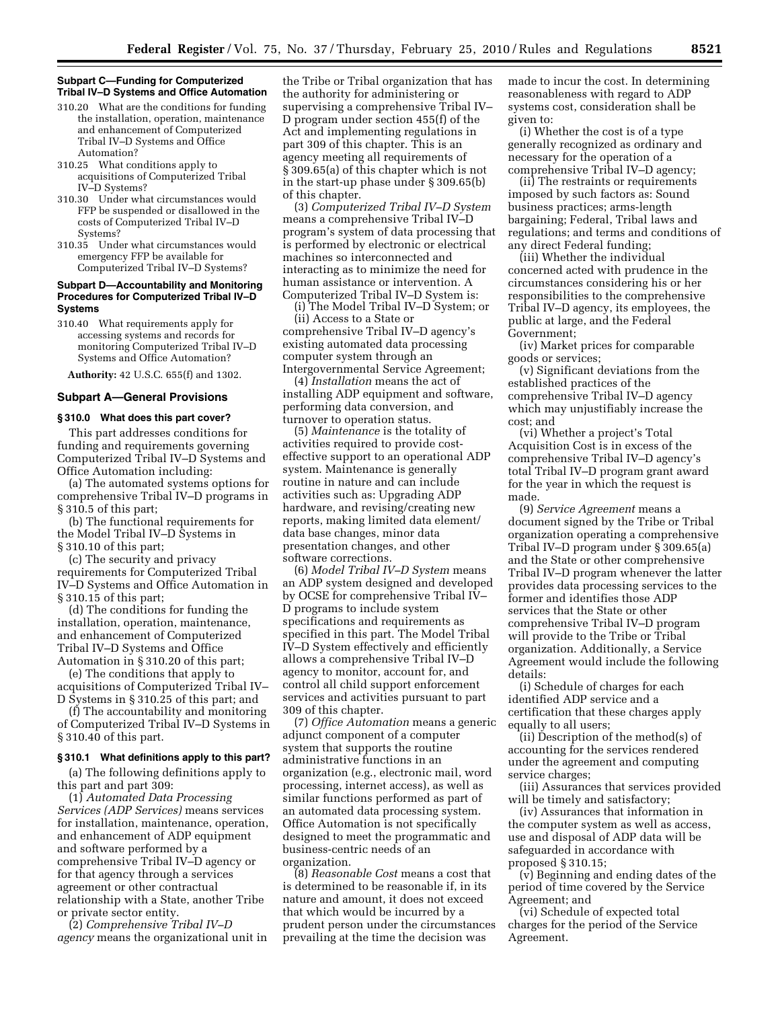### **Subpart C—Funding for Computerized Tribal IV–D Systems and Office Automation**

- 310.20 What are the conditions for funding the installation, operation, maintenance and enhancement of Computerized Tribal IV–D Systems and Office Automation?
- 310.25 What conditions apply to acquisitions of Computerized Tribal IV–D Systems?
- 310.30 Under what circumstances would FFP be suspended or disallowed in the costs of Computerized Tribal IV–D Systems?
- 310.35 Under what circumstances would emergency FFP be available for Computerized Tribal IV–D Systems?

## **Subpart D—Accountability and Monitoring Procedures for Computerized Tribal IV–D Systems**

310.40 What requirements apply for accessing systems and records for monitoring Computerized Tribal IV–D Systems and Office Automation?

**Authority:** 42 U.S.C. 655(f) and 1302.

# **Subpart A—General Provisions**

### **§ 310.0 What does this part cover?**

This part addresses conditions for funding and requirements governing Computerized Tribal IV–D Systems and Office Automation including:

(a) The automated systems options for comprehensive Tribal IV–D programs in § 310.5 of this part;

(b) The functional requirements for the Model Tribal IV–D Systems in § 310.10 of this part;

(c) The security and privacy requirements for Computerized Tribal IV–D Systems and Office Automation in § 310.15 of this part;

(d) The conditions for funding the installation, operation, maintenance, and enhancement of Computerized Tribal IV–D Systems and Office Automation in § 310.20 of this part;

(e) The conditions that apply to acquisitions of Computerized Tribal IV– D Systems in § 310.25 of this part; and

(f) The accountability and monitoring of Computerized Tribal IV–D Systems in § 310.40 of this part.

#### **§ 310.1 What definitions apply to this part?**

(a) The following definitions apply to this part and part 309:

(1) *Automated Data Processing Services (ADP Services)* means services for installation, maintenance, operation, and enhancement of ADP equipment and software performed by a comprehensive Tribal IV–D agency or for that agency through a services agreement or other contractual relationship with a State, another Tribe or private sector entity.

(2) *Comprehensive Tribal IV–D agency* means the organizational unit in

the Tribe or Tribal organization that has the authority for administering or supervising a comprehensive Tribal IV– D program under section 455(f) of the Act and implementing regulations in part 309 of this chapter. This is an agency meeting all requirements of § 309.65(a) of this chapter which is not in the start-up phase under § 309.65(b) of this chapter.

(3) *Computerized Tribal IV–D System*  means a comprehensive Tribal IV–D program's system of data processing that is performed by electronic or electrical machines so interconnected and interacting as to minimize the need for human assistance or intervention. A Computerized Tribal IV–D System is:

(i) The Model Tribal IV–D System; or (ii) Access to a State or

comprehensive Tribal IV–D agency's existing automated data processing computer system through an Intergovernmental Service Agreement;

(4) *Installation* means the act of installing ADP equipment and software, performing data conversion, and turnover to operation status.

(5) *Maintenance* is the totality of activities required to provide costeffective support to an operational ADP system. Maintenance is generally routine in nature and can include activities such as: Upgrading ADP hardware, and revising/creating new reports, making limited data element/ data base changes, minor data presentation changes, and other software corrections.

(6) *Model Tribal IV–D System* means an ADP system designed and developed by OCSE for comprehensive Tribal IV– D programs to include system specifications and requirements as specified in this part. The Model Tribal IV–D System effectively and efficiently allows a comprehensive Tribal IV–D agency to monitor, account for, and control all child support enforcement services and activities pursuant to part 309 of this chapter.

(7) *Office Automation* means a generic adjunct component of a computer system that supports the routine administrative functions in an organization (e.g., electronic mail, word processing, internet access), as well as similar functions performed as part of an automated data processing system. Office Automation is not specifically designed to meet the programmatic and business-centric needs of an organization.

(8) *Reasonable Cost* means a cost that is determined to be reasonable if, in its nature and amount, it does not exceed that which would be incurred by a prudent person under the circumstances prevailing at the time the decision was

made to incur the cost. In determining reasonableness with regard to ADP systems cost, consideration shall be given to:

(i) Whether the cost is of a type generally recognized as ordinary and necessary for the operation of a comprehensive Tribal IV–D agency;

(ii) The restraints or requirements imposed by such factors as: Sound business practices; arms-length bargaining; Federal, Tribal laws and regulations; and terms and conditions of any direct Federal funding;

(iii) Whether the individual concerned acted with prudence in the circumstances considering his or her responsibilities to the comprehensive Tribal IV–D agency, its employees, the public at large, and the Federal Government;

(iv) Market prices for comparable goods or services;

(v) Significant deviations from the established practices of the comprehensive Tribal IV–D agency which may unjustifiably increase the cost; and

(vi) Whether a project's Total Acquisition Cost is in excess of the comprehensive Tribal IV–D agency's total Tribal IV–D program grant award for the year in which the request is made.

(9) *Service Agreement* means a document signed by the Tribe or Tribal organization operating a comprehensive Tribal IV–D program under § 309.65(a) and the State or other comprehensive Tribal IV–D program whenever the latter provides data processing services to the former and identifies those ADP services that the State or other comprehensive Tribal IV–D program will provide to the Tribe or Tribal organization. Additionally, a Service Agreement would include the following details:

(i) Schedule of charges for each identified ADP service and a certification that these charges apply equally to all users;

(ii) Description of the method(s) of accounting for the services rendered under the agreement and computing service charges;

(iii) Assurances that services provided will be timely and satisfactory;

(iv) Assurances that information in the computer system as well as access, use and disposal of ADP data will be safeguarded in accordance with proposed § 310.15;

(v) Beginning and ending dates of the period of time covered by the Service Agreement; and

(vi) Schedule of expected total charges for the period of the Service Agreement.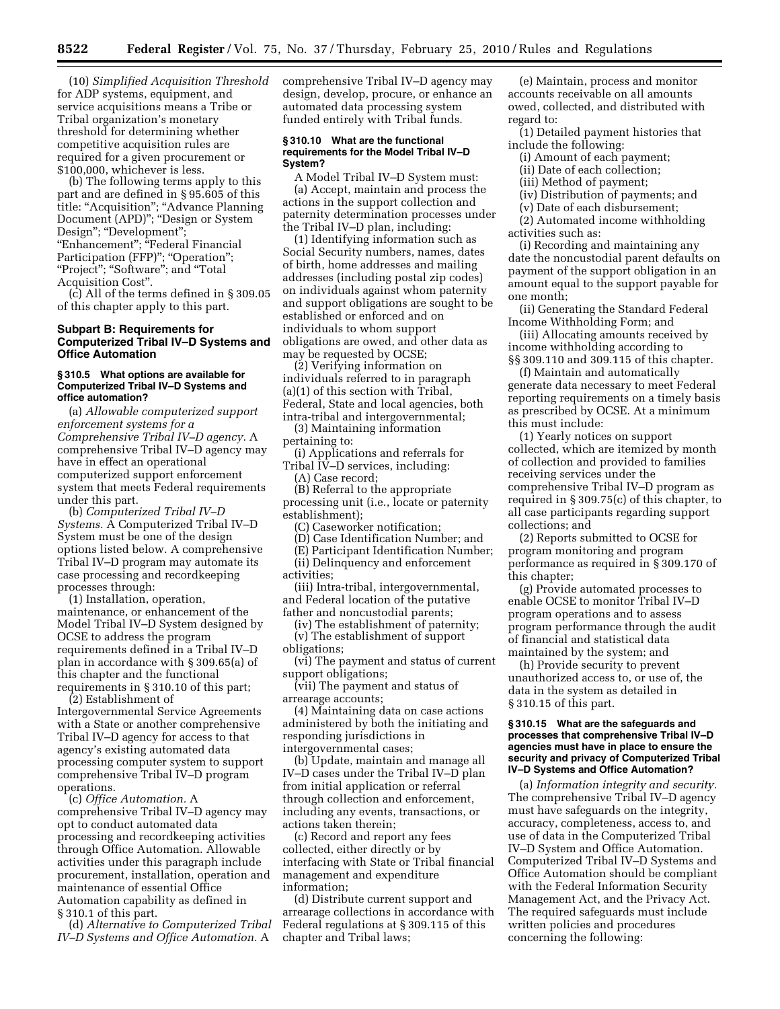(10) *Simplified Acquisition Threshold*  for ADP systems, equipment, and service acquisitions means a Tribe or Tribal organization's monetary threshold for determining whether competitive acquisition rules are required for a given procurement or \$100,000, whichever is less.

(b) The following terms apply to this part and are defined in § 95.605 of this title: "Acquisition"; "Advance Planning Document (APD)''; ''Design or System Design"; "Development"; "Enhancement"; "Federal Financial Participation (FFP)"; "Operation"; "Project"; "Software"; and "Total Acquisition Cost''.

(c) All of the terms defined in § 309.05 of this chapter apply to this part.

### **Subpart B: Requirements for Computerized Tribal IV–D Systems and Office Automation**

### **§ 310.5 What options are available for Computerized Tribal IV–D Systems and office automation?**

(a) *Allowable computerized support enforcement systems for a Comprehensive Tribal IV–D agency.* A comprehensive Tribal IV–D agency may have in effect an operational computerized support enforcement system that meets Federal requirements under this part.

(b) *Computerized Tribal IV–D Systems.* A Computerized Tribal IV–D System must be one of the design options listed below. A comprehensive Tribal IV–D program may automate its case processing and recordkeeping processes through:

(1) Installation, operation, maintenance, or enhancement of the Model Tribal IV–D System designed by OCSE to address the program requirements defined in a Tribal IV–D plan in accordance with § 309.65(a) of this chapter and the functional requirements in § 310.10 of this part;

(2) Establishment of Intergovernmental Service Agreements with a State or another comprehensive Tribal IV–D agency for access to that agency's existing automated data processing computer system to support comprehensive Tribal IV–D program operations.

(c) *Office Automation.* A comprehensive Tribal IV–D agency may opt to conduct automated data processing and recordkeeping activities through Office Automation. Allowable activities under this paragraph include procurement, installation, operation and maintenance of essential Office Automation capability as defined in § 310.1 of this part.

(d) *Alternative to Computerized Tribal IV–D Systems and Office Automation.* A

comprehensive Tribal IV–D agency may design, develop, procure, or enhance an automated data processing system funded entirely with Tribal funds.

#### **§ 310.10 What are the functional requirements for the Model Tribal IV–D System?**

A Model Tribal IV–D System must: (a) Accept, maintain and process the actions in the support collection and paternity determination processes under the Tribal IV–D plan, including:

(1) Identifying information such as Social Security numbers, names, dates of birth, home addresses and mailing addresses (including postal zip codes) on individuals against whom paternity and support obligations are sought to be established or enforced and on individuals to whom support obligations are owed, and other data as may be requested by OCSE;

(2) Verifying information on individuals referred to in paragraph (a)(1) of this section with Tribal, Federal, State and local agencies, both intra-tribal and intergovernmental;

(3) Maintaining information pertaining to:

- (i) Applications and referrals for Tribal IV–D services, including:
- (A) Case record;

(B) Referral to the appropriate processing unit (i.e., locate or paternity establishment);

(C) Caseworker notification;

(D) Case Identification Number; and

(E) Participant Identification Number;

- (ii) Delinquency and enforcement activities;
- (iii) Intra-tribal, intergovernmental,
- and Federal location of the putative father and noncustodial parents;

(iv) The establishment of paternity; (v) The establishment of support obligations;

(vi) The payment and status of current support obligations;

(vii) The payment and status of arrearage accounts;

(4) Maintaining data on case actions administered by both the initiating and responding jurisdictions in intergovernmental cases;

(b) Update, maintain and manage all IV–D cases under the Tribal IV–D plan from initial application or referral through collection and enforcement, including any events, transactions, or actions taken therein;

(c) Record and report any fees collected, either directly or by interfacing with State or Tribal financial management and expenditure information;

(d) Distribute current support and arrearage collections in accordance with Federal regulations at § 309.115 of this chapter and Tribal laws;

(e) Maintain, process and monitor accounts receivable on all amounts owed, collected, and distributed with regard to:

(1) Detailed payment histories that include the following:

- (i) Amount of each payment;
- (ii) Date of each collection;
- (iii) Method of payment;
- (iv) Distribution of payments; and
- (v) Date of each disbursement;

(2) Automated income withholding activities such as:

(i) Recording and maintaining any date the noncustodial parent defaults on payment of the support obligation in an amount equal to the support payable for one month;

(ii) Generating the Standard Federal Income Withholding Form; and

(iii) Allocating amounts received by income withholding according to §§ 309.110 and 309.115 of this chapter.

(f) Maintain and automatically generate data necessary to meet Federal reporting requirements on a timely basis as prescribed by OCSE. At a minimum this must include:

(1) Yearly notices on support collected, which are itemized by month of collection and provided to families receiving services under the comprehensive Tribal IV–D program as required in § 309.75(c) of this chapter, to all case participants regarding support collections; and

(2) Reports submitted to OCSE for program monitoring and program performance as required in § 309.170 of this chapter;

(g) Provide automated processes to enable OCSE to monitor Tribal IV–D program operations and to assess program performance through the audit of financial and statistical data maintained by the system; and

(h) Provide security to prevent unauthorized access to, or use of, the data in the system as detailed in § 310.15 of this part.

### **§ 310.15 What are the safeguards and processes that comprehensive Tribal IV–D agencies must have in place to ensure the security and privacy of Computerized Tribal IV–D Systems and Office Automation?**

(a) *Information integrity and security.*  The comprehensive Tribal IV–D agency must have safeguards on the integrity, accuracy, completeness, access to, and use of data in the Computerized Tribal IV–D System and Office Automation. Computerized Tribal IV–D Systems and Office Automation should be compliant with the Federal Information Security Management Act, and the Privacy Act. The required safeguards must include written policies and procedures concerning the following: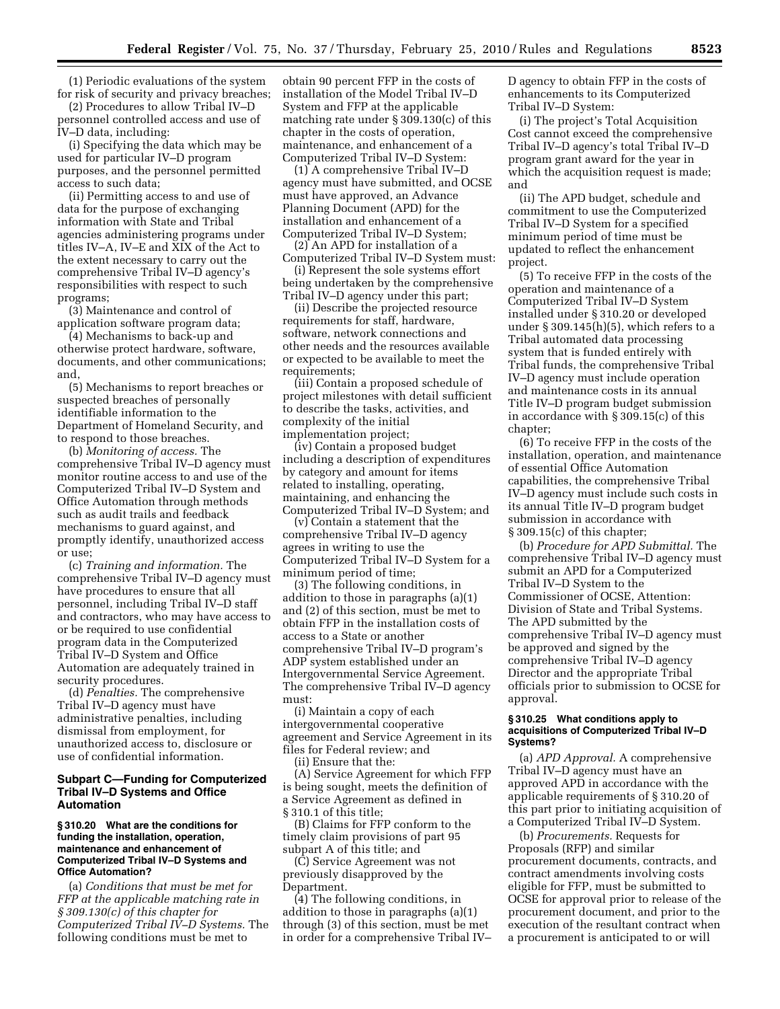(1) Periodic evaluations of the system for risk of security and privacy breaches;

(2) Procedures to allow Tribal IV–D personnel controlled access and use of IV–D data, including:

(i) Specifying the data which may be used for particular IV–D program purposes, and the personnel permitted access to such data;

(ii) Permitting access to and use of data for the purpose of exchanging information with State and Tribal agencies administering programs under titles IV–A, IV–E and XIX of the Act to the extent necessary to carry out the comprehensive Tribal IV–D agency's responsibilities with respect to such programs;

(3) Maintenance and control of application software program data;

(4) Mechanisms to back-up and otherwise protect hardware, software, documents, and other communications; and,

(5) Mechanisms to report breaches or suspected breaches of personally identifiable information to the Department of Homeland Security, and to respond to those breaches.

(b) *Monitoring of access.* The comprehensive Tribal IV–D agency must monitor routine access to and use of the Computerized Tribal IV–D System and Office Automation through methods such as audit trails and feedback mechanisms to guard against, and promptly identify, unauthorized access or use;

(c) *Training and information.* The comprehensive Tribal IV–D agency must have procedures to ensure that all personnel, including Tribal IV–D staff and contractors, who may have access to or be required to use confidential program data in the Computerized Tribal IV–D System and Office Automation are adequately trained in security procedures.

(d) *Penalties.* The comprehensive Tribal IV–D agency must have administrative penalties, including dismissal from employment, for unauthorized access to, disclosure or use of confidential information.

## **Subpart C—Funding for Computerized Tribal IV–D Systems and Office Automation**

### **§ 310.20 What are the conditions for funding the installation, operation, maintenance and enhancement of Computerized Tribal IV–D Systems and Office Automation?**

(a) *Conditions that must be met for FFP at the applicable matching rate in § 309.130(c) of this chapter for Computerized Tribal IV–D Systems.* The following conditions must be met to

obtain 90 percent FFP in the costs of installation of the Model Tribal IV–D System and FFP at the applicable matching rate under § 309.130(c) of this chapter in the costs of operation, maintenance, and enhancement of a Computerized Tribal IV–D System:

(1) A comprehensive Tribal IV–D agency must have submitted, and OCSE must have approved, an Advance Planning Document (APD) for the installation and enhancement of a Computerized Tribal IV–D System;

(2) An APD for installation of a Computerized Tribal IV–D System must:

(i) Represent the sole systems effort being undertaken by the comprehensive Tribal IV–D agency under this part;

(ii) Describe the projected resource requirements for staff, hardware, software, network connections and other needs and the resources available or expected to be available to meet the requirements;

(iii) Contain a proposed schedule of project milestones with detail sufficient to describe the tasks, activities, and complexity of the initial implementation project;

(iv) Contain a proposed budget including a description of expenditures by category and amount for items related to installing, operating, maintaining, and enhancing the Computerized Tribal IV–D System; and

(v) Contain a statement that the comprehensive Tribal IV–D agency agrees in writing to use the Computerized Tribal IV–D System for a minimum period of time;

(3) The following conditions, in addition to those in paragraphs (a)(1) and (2) of this section, must be met to obtain FFP in the installation costs of access to a State or another comprehensive Tribal IV–D program's ADP system established under an Intergovernmental Service Agreement. The comprehensive Tribal IV–D agency must:

(i) Maintain a copy of each intergovernmental cooperative agreement and Service Agreement in its files for Federal review; and

(ii) Ensure that the:

(A) Service Agreement for which FFP is being sought, meets the definition of a Service Agreement as defined in § 310.1 of this title;

(B) Claims for FFP conform to the timely claim provisions of part 95 subpart A of this title; and

(C) Service Agreement was not previously disapproved by the Department.

(4) The following conditions, in addition to those in paragraphs (a)(1) through (3) of this section, must be met in order for a comprehensive Tribal IV– D agency to obtain FFP in the costs of enhancements to its Computerized Tribal IV–D System:

(i) The project's Total Acquisition Cost cannot exceed the comprehensive Tribal IV–D agency's total Tribal IV–D program grant award for the year in which the acquisition request is made; and

(ii) The APD budget, schedule and commitment to use the Computerized Tribal IV–D System for a specified minimum period of time must be updated to reflect the enhancement project.

(5) To receive FFP in the costs of the operation and maintenance of a Computerized Tribal IV–D System installed under § 310.20 or developed under § 309.145(h)(5), which refers to a Tribal automated data processing system that is funded entirely with Tribal funds, the comprehensive Tribal IV–D agency must include operation and maintenance costs in its annual Title IV–D program budget submission in accordance with § 309.15(c) of this chapter;

(6) To receive FFP in the costs of the installation, operation, and maintenance of essential Office Automation capabilities, the comprehensive Tribal IV–D agency must include such costs in its annual Title IV–D program budget submission in accordance with § 309.15(c) of this chapter;

(b) *Procedure for APD Submittal.* The comprehensive Tribal IV–D agency must submit an APD for a Computerized Tribal IV–D System to the Commissioner of OCSE, Attention: Division of State and Tribal Systems. The APD submitted by the comprehensive Tribal IV–D agency must be approved and signed by the comprehensive Tribal IV–D agency Director and the appropriate Tribal officials prior to submission to OCSE for approval.

### **§ 310.25 What conditions apply to acquisitions of Computerized Tribal IV–D Systems?**

(a) *APD Approval.* A comprehensive Tribal IV–D agency must have an approved APD in accordance with the applicable requirements of § 310.20 of this part prior to initiating acquisition of a Computerized Tribal IV–D System.

(b) *Procurements.* Requests for Proposals (RFP) and similar procurement documents, contracts, and contract amendments involving costs eligible for FFP, must be submitted to OCSE for approval prior to release of the procurement document, and prior to the execution of the resultant contract when a procurement is anticipated to or will